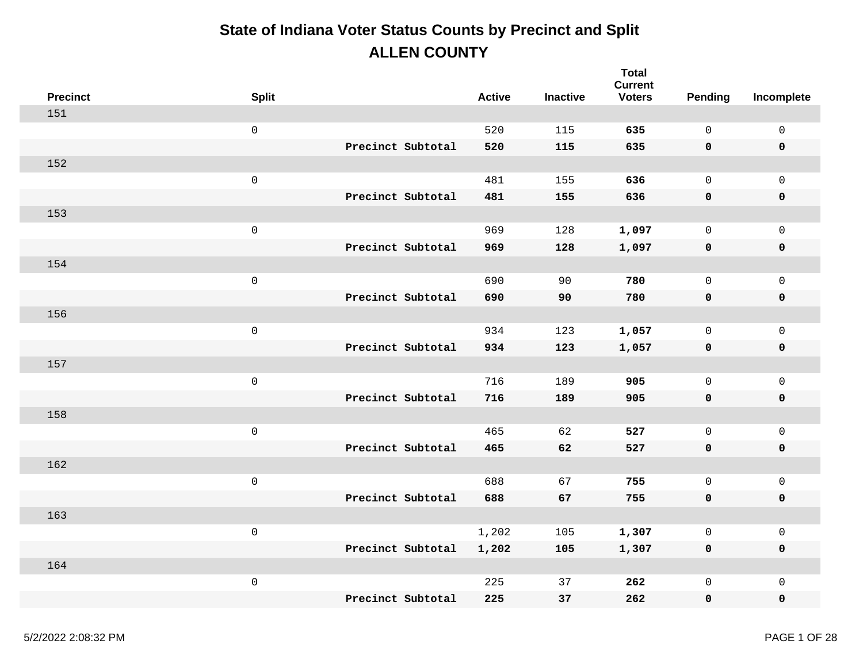| <b>Precinct</b> | <b>Split</b>        |                   | <b>Active</b> | <b>Inactive</b> | <b>Total</b><br><b>Current</b><br><b>Voters</b> | Pending      | Incomplete          |
|-----------------|---------------------|-------------------|---------------|-----------------|-------------------------------------------------|--------------|---------------------|
| 151             |                     |                   |               |                 |                                                 |              |                     |
|                 | $\mathsf{O}\xspace$ |                   | 520           | 115             | 635                                             | $\mathbf 0$  | $\mathsf{O}\xspace$ |
|                 |                     | Precinct Subtotal | 520           | 115             | 635                                             | 0            | $\pmb{0}$           |
| 152             |                     |                   |               |                 |                                                 |              |                     |
|                 | $\mathsf{O}\xspace$ |                   | 481           | 155             | 636                                             | $\mathsf{O}$ | $\mathbf 0$         |
|                 |                     | Precinct Subtotal | 481           | 155             | 636                                             | 0            | $\pmb{0}$           |
| 153             |                     |                   |               |                 |                                                 |              |                     |
|                 | $\mathbf 0$         |                   | 969           | 128             | 1,097                                           | $\mathbf 0$  | $\mathsf{O}$        |
|                 |                     | Precinct Subtotal | 969           | 128             | 1,097                                           | 0            | $\pmb{0}$           |
| 154             |                     |                   |               |                 |                                                 |              |                     |
|                 | $\mathsf 0$         |                   | 690           | 90              | 780                                             | $\mathsf{O}$ | $\mathbf 0$         |
|                 |                     | Precinct Subtotal | 690           | 90              | 780                                             | 0            | $\pmb{0}$           |
| 156             |                     |                   |               |                 |                                                 |              |                     |
|                 | $\mathsf 0$         |                   | 934           | 123             | 1,057                                           | $\mathsf{O}$ | $\mathsf{O}$        |
|                 |                     | Precinct Subtotal | 934           | 123             | 1,057                                           | 0            | $\pmb{0}$           |
| 157             |                     |                   |               |                 |                                                 |              |                     |
|                 | $\mathsf{O}\xspace$ |                   | 716           | 189             | 905                                             | $\mathsf{O}$ | $\mathsf{O}$        |
|                 |                     | Precinct Subtotal | 716           | 189             | 905                                             | 0            | $\pmb{0}$           |
| 158             |                     |                   |               |                 |                                                 |              |                     |
|                 | $\mathsf{O}\xspace$ |                   | 465           | 62              | 527                                             | $\mathsf{O}$ | $\mathsf{O}\xspace$ |
|                 |                     | Precinct Subtotal | 465           | 62              | 527                                             | 0            | $\mathbf 0$         |
| 162             |                     |                   |               |                 |                                                 |              |                     |
|                 | $\mathsf{O}\xspace$ |                   | 688           | 67              | 755                                             | $\mathsf{O}$ | $\mathsf{O}\xspace$ |
|                 |                     | Precinct Subtotal | 688           | 67              | 755                                             | 0            | $\pmb{0}$           |
| 163             |                     |                   |               |                 |                                                 |              |                     |
|                 | $\mathsf{O}\xspace$ |                   | 1,202         | 105             | 1,307                                           | $\mathsf{O}$ | $\mathsf{O}\xspace$ |
|                 |                     | Precinct Subtotal | 1,202         | 105             | 1,307                                           | 0            | $\mathbf 0$         |
| 164             |                     |                   |               |                 |                                                 |              |                     |
|                 | $\mathbf 0$         |                   | 225           | 37              | 262                                             | $\mathsf{O}$ | $\mathsf{O}\xspace$ |
|                 |                     | Precinct Subtotal | 225           | 37              | 262                                             | 0            | $\mathbf 0$         |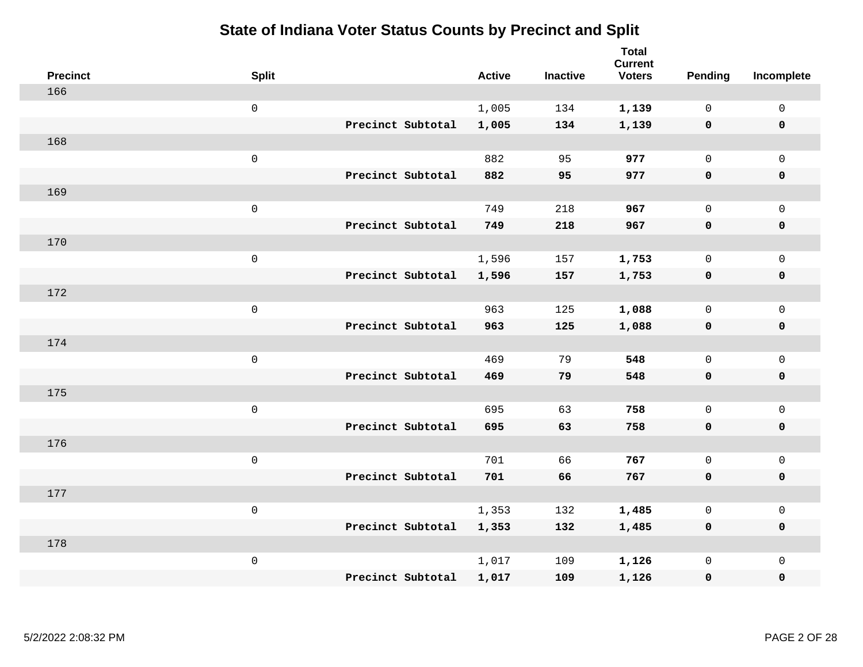| <b>Precinct</b> | <b>Split</b>        |                   | <b>Active</b> | <b>Inactive</b> | <b>Total</b><br><b>Current</b><br><b>Voters</b> | Pending      | Incomplete          |
|-----------------|---------------------|-------------------|---------------|-----------------|-------------------------------------------------|--------------|---------------------|
| 166             |                     |                   |               |                 |                                                 |              |                     |
|                 | $\mathbf 0$         |                   | 1,005         | 134             | 1,139                                           | $\mathbf 0$  | $\mathsf{O}$        |
|                 |                     | Precinct Subtotal | 1,005         | 134             | 1,139                                           | $\mathbf 0$  | $\pmb{0}$           |
| 168             |                     |                   |               |                 |                                                 |              |                     |
|                 | $\mathbf 0$         |                   | 882           | 95              | 977                                             | $\mathsf{O}$ | $\mathsf{O}$        |
|                 |                     | Precinct Subtotal | 882           | 95              | 977                                             | $\mathbf 0$  | 0                   |
| 169             |                     |                   |               |                 |                                                 |              |                     |
|                 | $\mathbf 0$         |                   | 749           | 218             | 967                                             | $\mathbf 0$  | $\mathsf{O}\xspace$ |
|                 |                     | Precinct Subtotal | 749           | 218             | 967                                             | $\mathbf 0$  | 0                   |
| 170             |                     |                   |               |                 |                                                 |              |                     |
|                 | $\mathsf{O}\xspace$ |                   | 1,596         | 157             | 1,753                                           | $\mathsf{O}$ | $\mathsf{O}\xspace$ |
|                 |                     | Precinct Subtotal | 1,596         | 157             | 1,753                                           | $\mathbf 0$  | 0                   |
| 172             |                     |                   |               |                 |                                                 |              |                     |
|                 | $\mathbf 0$         |                   | 963           | 125             | 1,088                                           | $\mathbf 0$  | $\mathsf{O}$        |
|                 |                     | Precinct Subtotal | 963           | 125             | 1,088                                           | $\mathbf 0$  | 0                   |
| 174             |                     |                   |               |                 |                                                 |              |                     |
|                 | $\mathbf 0$         |                   | 469           | 79              | 548                                             | $\mathbf 0$  | $\mathsf{O}$        |
|                 |                     | Precinct Subtotal | 469           | 79              | 548                                             | 0            | 0                   |
| 175             |                     |                   |               |                 |                                                 |              |                     |
|                 | $\mathbf 0$         |                   | 695           | 63              | 758                                             | $\mathsf{O}$ | $\mathsf{O}$        |
|                 |                     | Precinct Subtotal | 695           | 63              | 758                                             | 0            | 0                   |
| 176             |                     |                   |               |                 |                                                 |              |                     |
|                 | $\mathbf 0$         |                   | 701           | 66              | 767                                             | $\mathbf 0$  | $\mathsf{O}\xspace$ |
|                 |                     | Precinct Subtotal | 701           | 66              | 767                                             | 0            | 0                   |
| 177             |                     |                   |               |                 |                                                 |              |                     |
|                 | $\mathbf 0$         |                   | 1,353         | 132             | 1,485                                           | 0            | $\mathsf{O}\xspace$ |
|                 |                     | Precinct Subtotal | 1,353         | 132             | 1,485                                           | $\mathbf 0$  | 0                   |
| 178             |                     |                   |               |                 |                                                 |              |                     |
|                 | $\mathbf 0$         |                   | 1,017         | 109             | 1,126                                           | $\mathsf{O}$ | $\mathsf{O}$        |
|                 |                     | Precinct Subtotal | 1,017         | 109             | 1,126                                           | 0            | 0                   |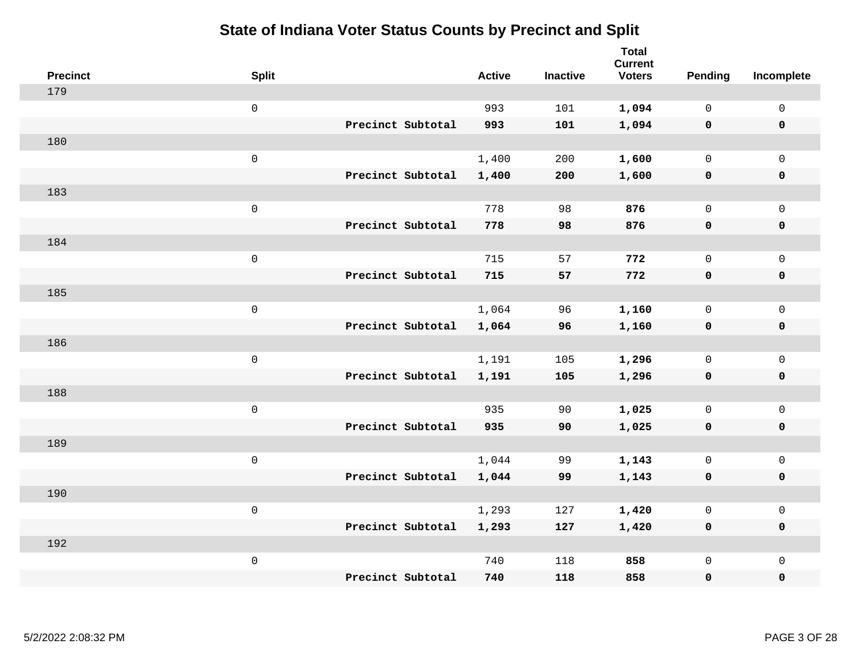| <b>Precinct</b> | <b>Split</b>        |                   | <b>Active</b> | <b>Inactive</b> | <b>Total</b><br><b>Current</b><br><b>Voters</b> | Pending      | Incomplete          |
|-----------------|---------------------|-------------------|---------------|-----------------|-------------------------------------------------|--------------|---------------------|
| 179             |                     |                   |               |                 |                                                 |              |                     |
|                 | $\mathsf{O}\xspace$ |                   | 993           | 101             | 1,094                                           | $\mathbf 0$  | $\mathsf{O}\xspace$ |
|                 |                     | Precinct Subtotal | 993           | 101             | 1,094                                           | $\mathbf 0$  | $\pmb{0}$           |
| 180             |                     |                   |               |                 |                                                 |              |                     |
|                 | $\mathsf{O}\xspace$ |                   | 1,400         | 200             | 1,600                                           | $\mathbf 0$  | $\mathbf{0}$        |
|                 |                     | Precinct Subtotal | 1,400         | 200             | 1,600                                           | $\mathbf 0$  | $\pmb{0}$           |
| 183             |                     |                   |               |                 |                                                 |              |                     |
|                 | $\mathsf{O}\xspace$ |                   | 778           | 98              | 876                                             | $\mathsf{O}$ | $\mathsf{O}\xspace$ |
|                 |                     | Precinct Subtotal | 778           | 98              | 876                                             | 0            | 0                   |
| 184             |                     |                   |               |                 |                                                 |              |                     |
|                 | $\mathsf{O}\xspace$ |                   | 715           | 57              | 772                                             | $\mathsf{O}$ | $\mathsf{O}\xspace$ |
|                 |                     | Precinct Subtotal | 715           | 57              | 772                                             | $\mathbf 0$  | 0                   |
| 185             |                     |                   |               |                 |                                                 |              |                     |
|                 | $\mathsf{O}\xspace$ |                   | 1,064         | 96              | 1,160                                           | $\mathsf{O}$ | $\mathsf{O}\xspace$ |
|                 |                     | Precinct Subtotal | 1,064         | 96              | 1,160                                           | 0            | 0                   |
| 186             |                     |                   |               |                 |                                                 |              |                     |
|                 | $\mathsf{O}\xspace$ |                   | 1,191         | 105             | 1,296                                           | $\mathsf{O}$ | $\mathsf{O}\xspace$ |
|                 |                     | Precinct Subtotal | 1,191         | 105             | 1,296                                           | $\mathbf 0$  | 0                   |
| 188             |                     |                   |               |                 |                                                 |              |                     |
|                 | $\mathsf{O}\xspace$ |                   | 935           | 90              | 1,025                                           | $\mathbf 0$  | $\mathsf{O}$        |
|                 |                     | Precinct Subtotal | 935           | 90              | 1,025                                           | $\mathbf 0$  | 0                   |
| 189             |                     |                   |               |                 |                                                 |              |                     |
|                 | $\mathsf 0$         |                   | 1,044         | 99              | 1,143                                           | $\mathsf{O}$ | $\mathsf{O}\xspace$ |
|                 |                     | Precinct Subtotal | 1,044         | 99              | 1,143                                           | 0            | 0                   |
| 190             |                     |                   |               |                 |                                                 |              |                     |
|                 | $\mathsf 0$         |                   | 1,293         | 127             | 1,420                                           | $\mathsf{O}$ | $\mathsf{O}\xspace$ |
|                 |                     | Precinct Subtotal | 1,293         | 127             | 1,420                                           | 0            | 0                   |
| 192             |                     |                   |               |                 |                                                 |              |                     |
|                 | $\mathsf 0$         |                   | 740           | 118             | 858                                             | $\mathsf{O}$ | $\mathsf{O}$        |
|                 |                     | Precinct Subtotal | 740           | 118             | 858                                             | 0            | $\pmb{0}$           |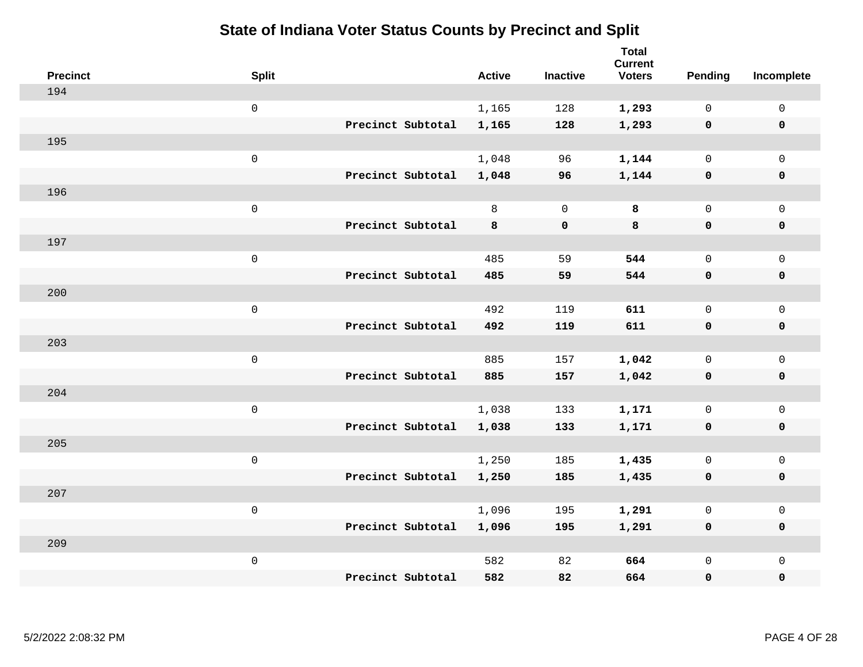| <b>Precinct</b> | <b>Split</b>        |                   | <b>Active</b> | <b>Inactive</b> | <b>Total</b><br><b>Current</b><br><b>Voters</b> | Pending      | Incomplete          |
|-----------------|---------------------|-------------------|---------------|-----------------|-------------------------------------------------|--------------|---------------------|
| 194             |                     |                   |               |                 |                                                 |              |                     |
|                 | $\mathbf 0$         |                   | 1,165         | 128             | 1,293                                           | $\mathbf 0$  | $\mathsf{O}$        |
|                 |                     | Precinct Subtotal | 1,165         | 128             | 1,293                                           | $\mathbf 0$  | $\pmb{0}$           |
| 195             |                     |                   |               |                 |                                                 |              |                     |
|                 | $\mathsf{O}$        |                   | 1,048         | 96              | 1,144                                           | $\mathsf{O}$ | $\mathsf{O}$        |
|                 |                     | Precinct Subtotal | 1,048         | 96              | 1,144                                           | 0            | 0                   |
| 196             |                     |                   |               |                 |                                                 |              |                     |
|                 | $\mathbf 0$         |                   | 8             | $\overline{0}$  | 8                                               | $\mathbf 0$  | $\mathsf{O}\xspace$ |
|                 |                     | Precinct Subtotal | 8             | $\mathbf 0$     | 8                                               | $\mathbf 0$  | 0                   |
| 197             |                     |                   |               |                 |                                                 |              |                     |
|                 | $\mathsf{O}\xspace$ |                   | 485           | 59              | 544                                             | $\mathbf 0$  | $\mathsf{O}\xspace$ |
|                 |                     | Precinct Subtotal | 485           | 59              | 544                                             | $\mathbf 0$  | 0                   |
| 200             |                     |                   |               |                 |                                                 |              |                     |
|                 | $\mathbf 0$         |                   | 492           | 119             | 611                                             | $\mathbf 0$  | $\mathsf{O}$        |
|                 |                     | Precinct Subtotal | 492           | 119             | 611                                             | 0            | 0                   |
| 203             |                     |                   |               |                 |                                                 |              |                     |
|                 | $\mathbf 0$         |                   | 885           | 157             | 1,042                                           | $\mathsf{O}$ | $\mathsf{O}$        |
|                 |                     | Precinct Subtotal | 885           | 157             | 1,042                                           | 0            | 0                   |
| 204             |                     |                   |               |                 |                                                 |              |                     |
|                 | $\mathbf 0$         |                   | 1,038         | 133             | 1,171                                           | $\mathsf{O}$ | $\mathsf{O}$        |
|                 |                     | Precinct Subtotal | 1,038         | 133             | 1,171                                           | 0            | 0                   |
| 205             |                     |                   |               |                 |                                                 |              |                     |
|                 | $\mathbf 0$         |                   | 1,250         | 185             | 1,435                                           | $\mathsf{O}$ | $\mathsf{O}\xspace$ |
|                 |                     | Precinct Subtotal | 1,250         | 185             | 1,435                                           | 0            | 0                   |
| 207             |                     |                   |               |                 |                                                 |              |                     |
|                 | $\mathbf 0$         |                   | 1,096         | 195             | 1,291                                           | $\mathbf 0$  | $\mathsf{O}\xspace$ |
|                 |                     | Precinct Subtotal | 1,096         | 195             | 1,291                                           | $\mathbf 0$  | 0                   |
| 209             |                     |                   |               |                 |                                                 |              |                     |
|                 | $\mathbf 0$         |                   | 582           | 82              | 664                                             | $\mathsf{O}$ | $\mathsf{O}$        |
|                 |                     | Precinct Subtotal | 582           | 82              | 664                                             | 0            | 0                   |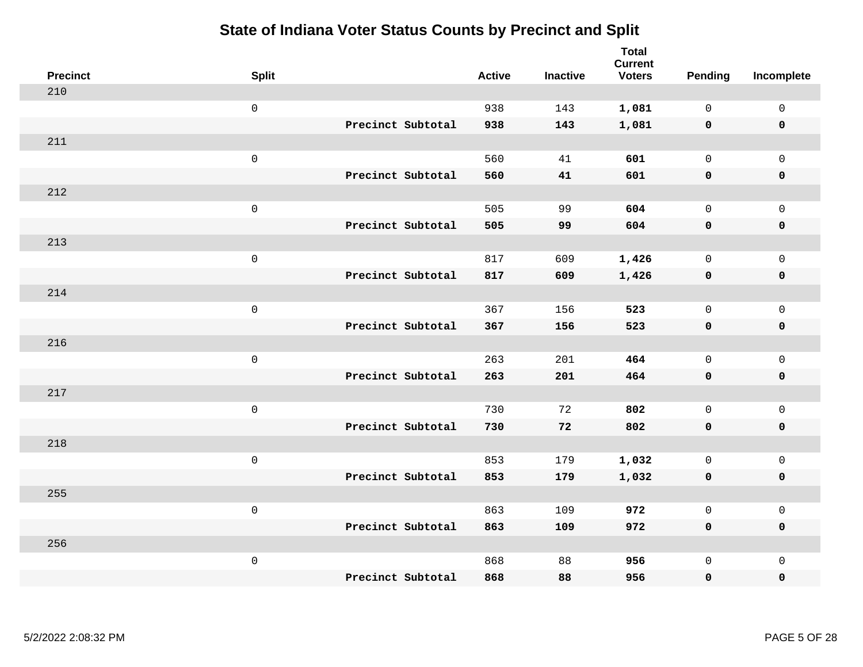| <b>Precinct</b> | <b>Split</b>        |                   | <b>Active</b> | <b>Inactive</b> | <b>Total</b><br><b>Current</b><br><b>Voters</b> | <b>Pending</b> | Incomplete          |
|-----------------|---------------------|-------------------|---------------|-----------------|-------------------------------------------------|----------------|---------------------|
| 210             |                     |                   |               |                 |                                                 |                |                     |
|                 | $\mathsf{O}\xspace$ |                   | 938           | 143             | 1,081                                           | $\mathbf 0$    | $\mathsf{O}\xspace$ |
|                 |                     | Precinct Subtotal | 938           | 143             | 1,081                                           | $\mathbf 0$    | $\mathbf 0$         |
| 211             |                     |                   |               |                 |                                                 |                |                     |
|                 | $\mathsf{O}\xspace$ |                   | 560           | 41              | 601                                             | $\mathbf 0$    | $\mathsf{O}$        |
|                 |                     | Precinct Subtotal | 560           | 41              | 601                                             | $\mathbf 0$    | 0                   |
| 212             |                     |                   |               |                 |                                                 |                |                     |
|                 | $\mathsf 0$         |                   | 505           | 99              | 604                                             | $\mathbf 0$    | $\mathsf{O}\xspace$ |
|                 |                     | Precinct Subtotal | 505           | 99              | 604                                             | $\mathbf 0$    | $\pmb{0}$           |
| 213             |                     |                   |               |                 |                                                 |                |                     |
|                 | $\mathsf{O}\xspace$ |                   | 817           | 609             | 1,426                                           | $\mathsf{O}$   | $\mathsf{O}$        |
|                 |                     | Precinct Subtotal | 817           | 609             | 1,426                                           | $\mathbf 0$    | 0                   |
| 214             |                     |                   |               |                 |                                                 |                |                     |
|                 | $\mathsf{O}\xspace$ |                   | 367           | 156             | 523                                             | $\mathbf 0$    | $\mathsf{O}\xspace$ |
|                 |                     | Precinct Subtotal | 367           | 156             | 523                                             | 0              | 0                   |
| 216             |                     |                   |               |                 |                                                 |                |                     |
|                 | $\mathsf{O}\xspace$ |                   | 263           | 201             | 464                                             | $\mathbf 0$    | $\mathsf{O}\xspace$ |
|                 |                     | Precinct Subtotal | 263           | 201             | 464                                             | 0              | 0                   |
| 217             |                     |                   |               |                 |                                                 |                |                     |
|                 | $\mathsf 0$         |                   | 730           | 72              | 802                                             | $\mathsf{O}$   | $\mathsf{O}$        |
|                 |                     | Precinct Subtotal | 730           | 72              | 802                                             | 0              | 0                   |
| 218             |                     |                   |               |                 |                                                 |                |                     |
|                 | $\mathsf{O}\xspace$ |                   | 853           | 179             | 1,032                                           | $\mathsf{O}$   | $\mathsf{O}$        |
|                 |                     | Precinct Subtotal | 853           | 179             | 1,032                                           | 0              | 0                   |
| 255             |                     |                   |               |                 |                                                 |                |                     |
|                 | $\mathsf 0$         |                   | 863           | 109             | 972                                             | $\mathbf 0$    | $\mathsf{O}$        |
|                 |                     | Precinct Subtotal | 863           | 109             | 972                                             | 0              | 0                   |
| 256             |                     |                   |               |                 |                                                 |                |                     |
|                 | $\mathsf 0$         |                   | 868           | 88              | 956                                             | $\mathsf{O}$   | $\mathsf{O}$        |
|                 |                     | Precinct Subtotal | 868           | 88              | 956                                             | 0              | 0                   |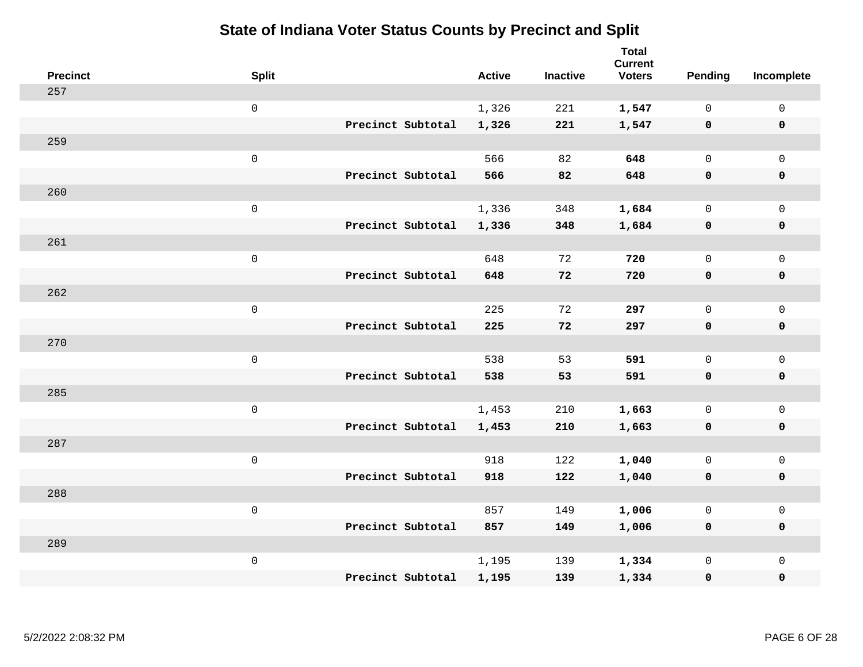| <b>Precinct</b> | <b>Split</b>        |                   | <b>Active</b> | <b>Inactive</b> | <b>Total</b><br><b>Current</b><br><b>Voters</b> | <b>Pending</b> | Incomplete          |
|-----------------|---------------------|-------------------|---------------|-----------------|-------------------------------------------------|----------------|---------------------|
| 257             |                     |                   |               |                 |                                                 |                |                     |
|                 | $\mathsf{O}\xspace$ |                   | 1,326         | 221             | 1,547                                           | 0              | $\mathsf{O}\xspace$ |
|                 |                     | Precinct Subtotal | 1,326         | 221             | 1,547                                           | $\mathbf 0$    | $\mathbf 0$         |
| 259             |                     |                   |               |                 |                                                 |                |                     |
|                 | $\mathsf{O}\xspace$ |                   | 566           | 82              | 648                                             | $\mathbf 0$    | $\mathsf{O}$        |
|                 |                     | Precinct Subtotal | 566           | 82              | 648                                             | $\mathbf 0$    | 0                   |
| 260             |                     |                   |               |                 |                                                 |                |                     |
|                 | $\mathsf 0$         |                   | 1,336         | 348             | 1,684                                           | $\mathbf 0$    | $\mathsf{O}\xspace$ |
|                 |                     | Precinct Subtotal | 1,336         | 348             | 1,684                                           | $\mathbf 0$    | $\pmb{0}$           |
| 261             |                     |                   |               |                 |                                                 |                |                     |
|                 | $\mathsf 0$         |                   | 648           | 72              | 720                                             | $\mathsf{O}$   | $\mathsf{O}$        |
|                 |                     | Precinct Subtotal | 648           | 72              | 720                                             | 0              | 0                   |
| 262             |                     |                   |               |                 |                                                 |                |                     |
|                 | $\mathsf 0$         |                   | 225           | 72              | 297                                             | $\mathbf 0$    | $\mathsf{O}\xspace$ |
|                 |                     | Precinct Subtotal | 225           | 72              | 297                                             | 0              | 0                   |
| 270             |                     |                   |               |                 |                                                 |                |                     |
|                 | $\mathsf 0$         |                   | 538           | 53              | 591                                             | $\mathbf 0$    | $\mathsf{O}\xspace$ |
|                 |                     | Precinct Subtotal | 538           | 53              | 591                                             | 0              | 0                   |
| 285             |                     |                   |               |                 |                                                 |                |                     |
|                 | $\mathsf 0$         |                   | 1,453         | 210             | 1,663                                           | 0              | $\mathsf{O}$        |
|                 |                     | Precinct Subtotal | 1,453         | 210             | 1,663                                           | 0              | 0                   |
| 287             |                     |                   |               |                 |                                                 |                |                     |
|                 | $\mathsf 0$         |                   | 918           | 122             | 1,040                                           | $\mathsf{O}$   | $\mathsf{O}$        |
|                 |                     | Precinct Subtotal | 918           | 122             | 1,040                                           | 0              | 0                   |
| 288             |                     |                   |               |                 |                                                 |                |                     |
|                 | $\mathsf 0$         |                   | 857           | 149             | 1,006                                           | 0              | $\mathsf{O}$        |
|                 |                     | Precinct Subtotal | 857           | 149             | 1,006                                           | 0              | 0                   |
| 289             |                     |                   |               |                 |                                                 |                |                     |
|                 | $\mathsf 0$         |                   | 1,195         | 139             | 1,334                                           | $\mathsf{O}$   | $\mathsf{O}$        |
|                 |                     | Precinct Subtotal | 1,195         | 139             | 1,334                                           | 0              | 0                   |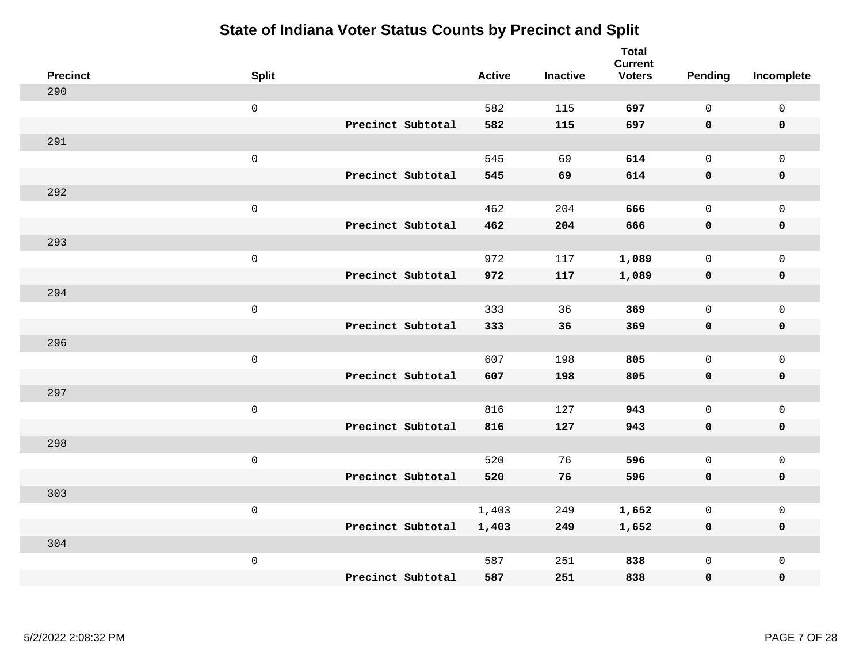| <b>Precinct</b> | <b>Split</b>        |                   | <b>Active</b> | <b>Inactive</b> | <b>Total</b><br><b>Current</b><br><b>Voters</b> | Pending      | Incomplete          |
|-----------------|---------------------|-------------------|---------------|-----------------|-------------------------------------------------|--------------|---------------------|
| 290             |                     |                   |               |                 |                                                 |              |                     |
|                 | $\mathsf{O}\xspace$ |                   | 582           | 115             | 697                                             | $\mathbf 0$  | $\mathsf{O}\xspace$ |
|                 |                     | Precinct Subtotal | 582           | 115             | 697                                             | $\mathbf 0$  | $\mathbf 0$         |
| 291             |                     |                   |               |                 |                                                 |              |                     |
|                 | $\mathsf{O}\xspace$ |                   | 545           | 69              | 614                                             | $\mathsf{O}$ | $\mathsf{O}$        |
|                 |                     | Precinct Subtotal | 545           | 69              | 614                                             | $\mathbf 0$  | 0                   |
| 292             |                     |                   |               |                 |                                                 |              |                     |
|                 | $\mathsf 0$         |                   | 462           | 204             | 666                                             | $\mathbf 0$  | $\mathsf{O}$        |
|                 |                     | Precinct Subtotal | 462           | 204             | 666                                             | $\mathbf 0$  | 0                   |
| 293             |                     |                   |               |                 |                                                 |              |                     |
|                 | $\mathsf{O}\xspace$ |                   | 972           | 117             | 1,089                                           | $\mathbf 0$  | $\mathsf{O}\xspace$ |
|                 |                     | Precinct Subtotal | 972           | 117             | 1,089                                           | $\mathbf 0$  | $\pmb{0}$           |
| 294             |                     |                   |               |                 |                                                 |              |                     |
|                 | $\mathsf 0$         |                   | 333           | 36              | 369                                             | $\mathbf{0}$ | $\mathsf 0$         |
|                 |                     | Precinct Subtotal | 333           | 36              | 369                                             | 0            | $\mathbf 0$         |
| 296             |                     |                   |               |                 |                                                 |              |                     |
|                 | $\mathsf{O}\xspace$ |                   | 607           | 198             | 805                                             | $\mathsf{O}$ | $\mathsf{O}$        |
|                 |                     | Precinct Subtotal | 607           | 198             | 805                                             | $\mathbf 0$  | 0                   |
| 297             |                     |                   |               |                 |                                                 |              |                     |
|                 | $\mathsf{O}\xspace$ |                   | 816           | 127             | 943                                             | $\mathbf 0$  | $\mathsf{O}\xspace$ |
|                 |                     | Precinct Subtotal | 816           | 127             | 943                                             | 0            | 0                   |
| 298             |                     |                   |               |                 |                                                 |              |                     |
|                 | $\mathsf 0$         |                   | 520           | 76              | 596                                             | $\mathbf 0$  | $\mathsf{O}\xspace$ |
|                 |                     | Precinct Subtotal | 520           | 76              | 596                                             | 0            | 0                   |
| 303             |                     |                   |               |                 |                                                 |              |                     |
|                 | $\mathsf 0$         |                   | 1,403         | 249             | 1,652                                           | 0            | $\mathsf 0$         |
|                 |                     | Precinct Subtotal | 1,403         | 249             | 1,652                                           | 0            | 0                   |
| 304             |                     |                   |               |                 |                                                 |              |                     |
|                 | $\mathsf 0$         |                   | 587           | 251             | 838                                             | $\mathsf{O}$ | $\mathsf{O}$        |
|                 |                     | Precinct Subtotal | 587           | 251             | 838                                             | 0            | 0                   |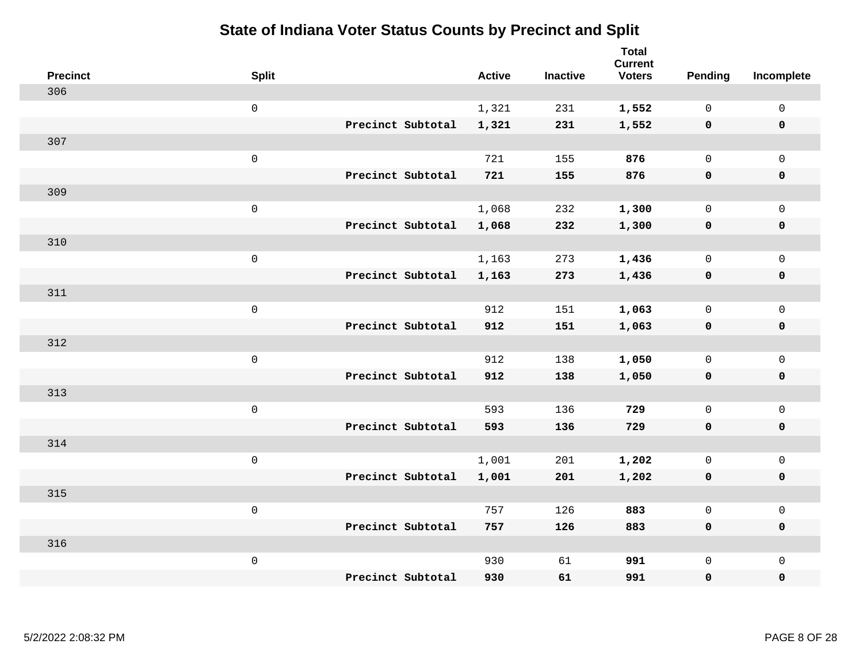| <b>Precinct</b> | <b>Split</b>        |                   | <b>Active</b> | <b>Inactive</b> | Total<br><b>Current</b><br><b>Voters</b> | Pending      | Incomplete          |
|-----------------|---------------------|-------------------|---------------|-----------------|------------------------------------------|--------------|---------------------|
| 306             |                     |                   |               |                 |                                          |              |                     |
|                 | $\mathsf{O}$        |                   | 1,321         | 231             | 1,552                                    | $\mathbf 0$  | $\mathsf{O}\xspace$ |
|                 |                     | Precinct Subtotal | 1,321         | 231             | 1,552                                    | $\mathbf 0$  | 0                   |
| 307             |                     |                   |               |                 |                                          |              |                     |
|                 | $\mathsf{O}\xspace$ |                   | 721           | 155             | 876                                      | $\mathbf 0$  | $\mathsf{O}$        |
|                 |                     | Precinct Subtotal | 721           | 155             | 876                                      | $\mathbf 0$  | 0                   |
| 309             |                     |                   |               |                 |                                          |              |                     |
|                 | $\mathbf 0$         |                   | 1,068         | 232             | 1,300                                    | $\mathbf 0$  | $\mathsf{O}\xspace$ |
|                 |                     | Precinct Subtotal | 1,068         | 232             | 1,300                                    | 0            | 0                   |
| 310             |                     |                   |               |                 |                                          |              |                     |
|                 | $\mathsf{O}\xspace$ |                   | 1,163         | 273             | 1,436                                    | $\mathbf 0$  | $\mathbf{0}$        |
|                 |                     | Precinct Subtotal | 1,163         | 273             | 1,436                                    | $\mathbf 0$  | 0                   |
| 311             |                     |                   |               |                 |                                          |              |                     |
|                 | $\mathbf 0$         |                   | 912           | 151             | 1,063                                    | $\mathbf 0$  | $\mathbf 0$         |
|                 |                     | Precinct Subtotal | 912           | 151             | 1,063                                    | $\mathbf 0$  | 0                   |
| 312             |                     |                   |               |                 |                                          |              |                     |
|                 | $\mathsf{O}\xspace$ |                   | 912           | 138             | 1,050                                    | $\mathsf{O}$ | $\mathsf{O}$        |
|                 |                     | Precinct Subtotal | 912           | 138             | 1,050                                    | $\mathbf 0$  | 0                   |
| 313             |                     |                   |               |                 |                                          |              |                     |
|                 | $\mathbf 0$         |                   | 593           | 136             | 729                                      | $\mathsf{O}$ | $\mathsf{O}$        |
|                 |                     | Precinct Subtotal | 593           | 136             | 729                                      | 0            | 0                   |
| 314             |                     |                   |               |                 |                                          |              |                     |
|                 | $\mathbf 0$         |                   | 1,001         | 201             | 1,202                                    | $\mathsf{O}$ | $\mathsf{O}$        |
|                 |                     | Precinct Subtotal | 1,001         | 201             | 1,202                                    | 0            | 0                   |
| 315             |                     |                   |               |                 |                                          |              |                     |
|                 | $\mathbf 0$         |                   | 757           | 126             | 883                                      | $\mathsf{O}$ | $\mathsf{O}$        |
|                 |                     | Precinct Subtotal | 757           | 126             | 883                                      | 0            | 0                   |
| 316             |                     |                   |               |                 |                                          |              |                     |
|                 | $\mathbf 0$         |                   | 930           | 61              | 991                                      | $\mathsf{O}$ | $\mathsf{O}$        |
|                 |                     | Precinct Subtotal | 930           | 61              | 991                                      | 0            | 0                   |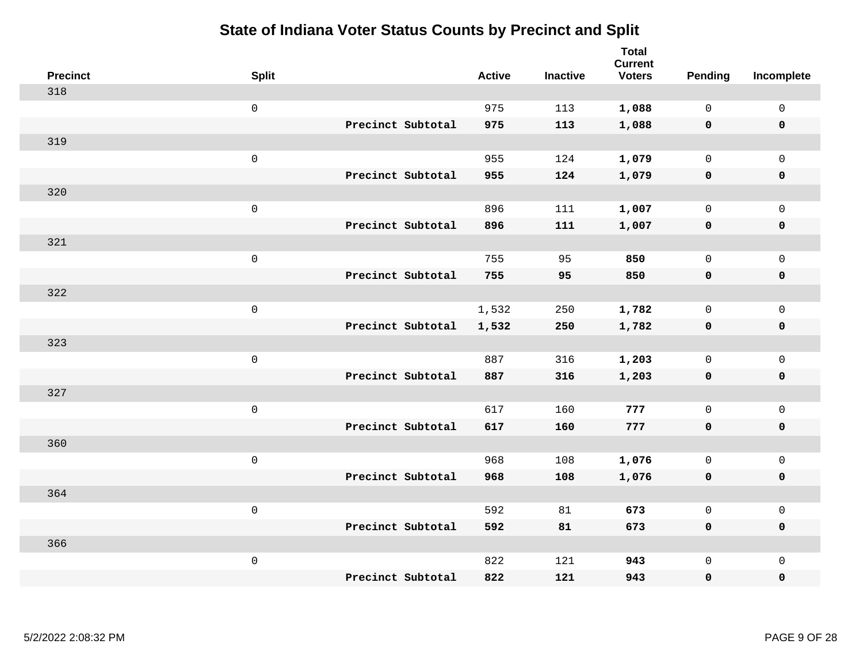| <b>Precinct</b> | <b>Split</b>        |                   | <b>Active</b> | <b>Inactive</b> | <b>Total</b><br><b>Current</b><br><b>Voters</b> | Pending      | Incomplete          |
|-----------------|---------------------|-------------------|---------------|-----------------|-------------------------------------------------|--------------|---------------------|
| 318             |                     |                   |               |                 |                                                 |              |                     |
|                 | $\mathsf 0$         |                   | 975           | 113             | 1,088                                           | $\mathbf 0$  | $\mathsf{O}\xspace$ |
|                 |                     | Precinct Subtotal | 975           | 113             | 1,088                                           | $\mathbf 0$  | $\mathbf 0$         |
| 319             |                     |                   |               |                 |                                                 |              |                     |
|                 | $\mathsf 0$         |                   | 955           | 124             | 1,079                                           | $\mathbf 0$  | $\mathsf{O}$        |
|                 |                     | Precinct Subtotal | 955           | 124             | 1,079                                           | 0            | 0                   |
| 320             |                     |                   |               |                 |                                                 |              |                     |
|                 | $\mathsf 0$         |                   | 896           | 111             | 1,007                                           | $\mathbf 0$  | $\mathsf{O}$        |
|                 |                     | Precinct Subtotal | 896           | 111             | 1,007                                           | $\mathbf 0$  | 0                   |
| 321             |                     |                   |               |                 |                                                 |              |                     |
|                 | $\mathsf 0$         |                   | 755           | 95              | 850                                             | $\mathbf 0$  | $\mathsf{O}\xspace$ |
|                 |                     | Precinct Subtotal | 755           | 95              | 850                                             | $\mathbf 0$  | $\pmb{0}$           |
| 322             |                     |                   |               |                 |                                                 |              |                     |
|                 | $\mathsf 0$         |                   | 1,532         | 250             | 1,782                                           | $\mathbf 0$  | $\mathsf{O}\xspace$ |
|                 |                     | Precinct Subtotal | 1,532         | 250             | 1,782                                           | 0            | $\pmb{0}$           |
| 323             |                     |                   |               |                 |                                                 |              |                     |
|                 | $\mathbf 0$         |                   | 887           | 316             | 1,203                                           | $\mathsf{O}$ | $\mathsf{O}$        |
|                 |                     | Precinct Subtotal | 887           | 316             | 1,203                                           | $\mathbf 0$  | 0                   |
| 327             |                     |                   |               |                 |                                                 |              |                     |
|                 | $\mathbf 0$         |                   | 617           | 160             | 777                                             | $\mathbf 0$  | $\mathsf{O}\xspace$ |
|                 |                     | Precinct Subtotal | 617           | 160             | 777                                             | 0            | 0                   |
| 360             |                     |                   |               |                 |                                                 |              |                     |
|                 | $\mathsf{O}\xspace$ |                   | 968           | 108             | 1,076                                           | $\mathbf 0$  | $\mathsf{O}\xspace$ |
|                 |                     | Precinct Subtotal | 968           | 108             | 1,076                                           | $\mathbf 0$  | 0                   |
| 364             |                     |                   |               |                 |                                                 |              |                     |
|                 | $\mathsf 0$         |                   | 592           | 81              | 673                                             | $\mathbf 0$  | $\mathsf{O}\xspace$ |
|                 |                     | Precinct Subtotal | 592           | 81              | 673                                             | 0            | 0                   |
| 366             |                     |                   |               |                 |                                                 |              |                     |
|                 | $\mathbf 0$         |                   | 822           | 121             | 943                                             | $\mathsf{O}$ | $\mathsf{O}$        |
|                 |                     | Precinct Subtotal | 822           | 121             | 943                                             | 0            | 0                   |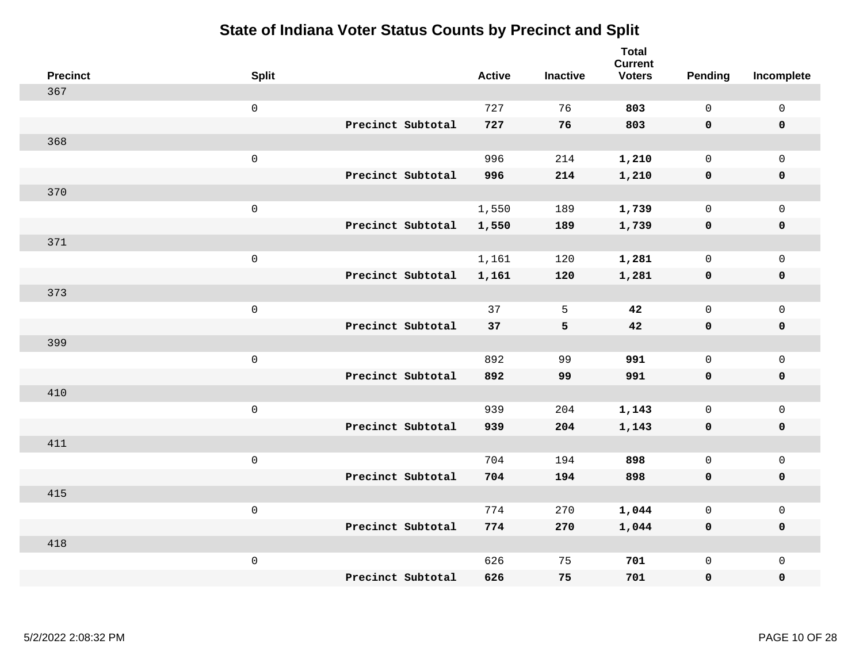| <b>Precinct</b> | <b>Split</b>        |                   | <b>Active</b> | <b>Inactive</b> | <b>Total</b><br><b>Current</b><br><b>Voters</b> | Pending      | Incomplete  |
|-----------------|---------------------|-------------------|---------------|-----------------|-------------------------------------------------|--------------|-------------|
| 367             |                     |                   |               |                 |                                                 |              |             |
|                 | $\mathsf{O}\xspace$ |                   | 727           | 76              | 803                                             | $\mathsf{O}$ | $\mathsf 0$ |
|                 |                     | Precinct Subtotal | 727           | 76              | 803                                             | $\mathbf 0$  | $\mathbf 0$ |
| 368             |                     |                   |               |                 |                                                 |              |             |
|                 | $\mathbf 0$         |                   | 996           | 214             | 1,210                                           | $\mathbf 0$  | $\mathbf 0$ |
|                 |                     | Precinct Subtotal | 996           | 214             | 1,210                                           | $\mathbf 0$  | $\mathbf 0$ |
| 370             |                     |                   |               |                 |                                                 |              |             |
|                 | $\mathsf 0$         |                   | 1,550         | 189             | 1,739                                           | $\mathbf 0$  | $\mathsf 0$ |
|                 |                     | Precinct Subtotal | 1,550         | 189             | 1,739                                           | $\mathbf 0$  | $\mathbf 0$ |
| 371             |                     |                   |               |                 |                                                 |              |             |
|                 | $\mathbf 0$         |                   | 1,161         | 120             | 1,281                                           | $\mathsf{O}$ | $\mathbf 0$ |
|                 |                     | Precinct Subtotal | 1,161         | 120             | 1,281                                           | $\mathbf 0$  | $\mathbf 0$ |
| 373             |                     |                   |               |                 |                                                 |              |             |
|                 | $\mathbf 0$         |                   | 37            | 5               | 42                                              | $\mathbf 0$  | $\mathsf 0$ |
|                 |                     | Precinct Subtotal | 37            | 5               | 42                                              | $\mathbf 0$  | $\mathbf 0$ |
| 399             |                     |                   |               |                 |                                                 |              |             |
|                 | $\mathbf 0$         |                   | 892           | 99              | 991                                             | $\mathbf 0$  | $\mathsf 0$ |
|                 |                     | Precinct Subtotal | 892           | 99              | 991                                             | $\mathbf 0$  | $\mathbf 0$ |
| 410             |                     |                   |               |                 |                                                 |              |             |
|                 | $\mathbf 0$         |                   | 939           | 204             | 1,143                                           | $\mathsf{O}$ | $\mathbf 0$ |
|                 |                     | Precinct Subtotal | 939           | 204             | 1,143                                           | 0            | 0           |
| 411             |                     |                   |               |                 |                                                 |              |             |
|                 | $\mathbf 0$         |                   | 704           | 194             | 898                                             | $\mathbf 0$  | $\mathbf 0$ |
|                 |                     | Precinct Subtotal | 704           | 194             | 898                                             | $\mathbf 0$  | $\pmb{0}$   |
| 415             |                     |                   |               |                 |                                                 |              |             |
|                 | $\mathbf 0$         |                   | 774           | 270             | 1,044                                           | $\mathbf 0$  | $\mathbf 0$ |
|                 |                     | Precinct Subtotal | 774           | 270             | 1,044                                           | 0            | $\mathbf 0$ |
| 418             |                     |                   |               |                 |                                                 |              |             |
|                 | $\mathbf 0$         |                   | 626           | 75              | 701                                             | $\mathsf{O}$ | $\mathbf 0$ |
|                 |                     | Precinct Subtotal | 626           | 75              | 701                                             | 0            | $\pmb{0}$   |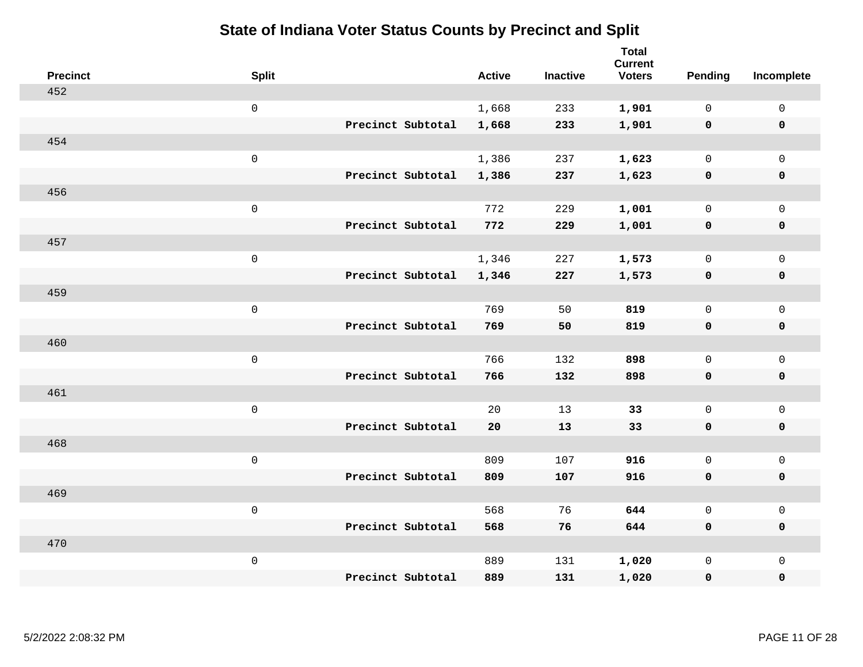| <b>Precinct</b> | <b>Split</b>      | <b>Active</b> | <b>Inactive</b> | <b>Total</b><br><b>Current</b><br><b>Voters</b> | <b>Pending</b> | Incomplete          |
|-----------------|-------------------|---------------|-----------------|-------------------------------------------------|----------------|---------------------|
| 452             |                   |               |                 |                                                 |                |                     |
|                 | $\mathsf 0$       | 1,668         | 233             | 1,901                                           | $\mathbf 0$    | $\mathsf 0$         |
|                 | Precinct Subtotal | 1,668         | 233             | 1,901                                           | $\mathbf 0$    | $\mathbf 0$         |
| 454             |                   |               |                 |                                                 |                |                     |
|                 | $\mathsf{O}$      | 1,386         | 237             | 1,623                                           | $\mathbf 0$    | $\mathsf{O}$        |
|                 | Precinct Subtotal | 1,386         | 237             | 1,623                                           | $\mathbf 0$    | 0                   |
| 456             |                   |               |                 |                                                 |                |                     |
|                 | $\mathsf 0$       | 772           | 229             | 1,001                                           | $\mathbf 0$    | $\mathsf{O}\xspace$ |
|                 | Precinct Subtotal | 772           | 229             | 1,001                                           | $\mathbf 0$    | $\pmb{0}$           |
| 457             |                   |               |                 |                                                 |                |                     |
|                 | $\mathbf 0$       | 1,346         | 227             | 1,573                                           | $\mathsf{O}$   | $\mathsf{O}$        |
|                 | Precinct Subtotal | 1,346         | 227             | 1,573                                           | $\mathbf 0$    | 0                   |
| 459             |                   |               |                 |                                                 |                |                     |
|                 | $\mathbf 0$       | 769           | 50              | 819                                             | $\mathbf 0$    | $\mathsf{O}\xspace$ |
|                 | Precinct Subtotal | 769           | 50              | 819                                             | 0              | 0                   |
| 460             |                   |               |                 |                                                 |                |                     |
|                 | $\mathbf 0$       | 766           | 132             | 898                                             | $\mathbf 0$    | $\mathsf{O}\xspace$ |
|                 | Precinct Subtotal | 766           | 132             | 898                                             | 0              | 0                   |
| 461             |                   |               |                 |                                                 |                |                     |
|                 | $\mathbf 0$       | 20            | 13              | 33                                              | $\mathbf 0$    | $\mathsf{O}$        |
|                 | Precinct Subtotal | 20            | 13              | 33                                              | $\mathbf 0$    | 0                   |
| 468             |                   |               |                 |                                                 |                |                     |
|                 | $\mathbf 0$       | 809           | 107             | 916                                             | $\mathsf{O}$   | $\mathsf{O}$        |
|                 | Precinct Subtotal | 809           | 107             | 916                                             | 0              | 0                   |
| 469             |                   |               |                 |                                                 |                |                     |
|                 | $\mathbf 0$       | 568           | 76              | 644                                             | $\mathbf{0}$   | $\mathsf{O}$        |
|                 | Precinct Subtotal | 568           | 76              | 644                                             | 0              | 0                   |
| 470             |                   |               |                 |                                                 |                |                     |
|                 | $\mathbf 0$       | 889           | 131             | 1,020                                           | $\mathsf{O}$   | $\mathsf{O}$        |
|                 | Precinct Subtotal | 889           | 131             | 1,020                                           | 0              | 0                   |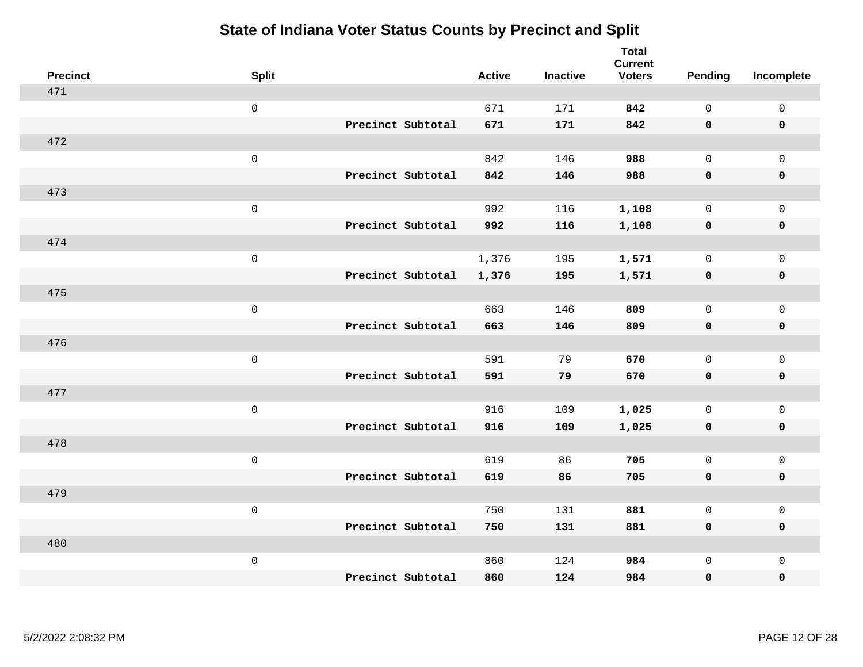| <b>Precinct</b> | <b>Split</b>        |                   | <b>Active</b> | <b>Inactive</b> | <b>Total</b><br><b>Current</b><br><b>Voters</b> | <b>Pending</b> | Incomplete  |
|-----------------|---------------------|-------------------|---------------|-----------------|-------------------------------------------------|----------------|-------------|
| 471             |                     |                   |               |                 |                                                 |                |             |
|                 | $\mathsf{O}\xspace$ |                   | 671           | 171             | 842                                             | $\mathbf 0$    | $\mathsf 0$ |
|                 |                     | Precinct Subtotal | 671           | 171             | 842                                             | $\mathbf 0$    | $\mathbf 0$ |
| 472             |                     |                   |               |                 |                                                 |                |             |
|                 | $\mathsf 0$         |                   | 842           | 146             | 988                                             | $\mathbf 0$    | $\mathbf 0$ |
|                 |                     | Precinct Subtotal | 842           | 146             | 988                                             | $\mathbf 0$    | $\mathbf 0$ |
| 473             |                     |                   |               |                 |                                                 |                |             |
|                 | $\mathsf 0$         |                   | 992           | 116             | 1,108                                           | $\mathbf 0$    | $\mathsf 0$ |
|                 |                     | Precinct Subtotal | 992           | 116             | 1,108                                           | $\mathbf 0$    | $\mathbf 0$ |
| 474             |                     |                   |               |                 |                                                 |                |             |
|                 | $\mathbf 0$         |                   | 1,376         | 195             | 1,571                                           | $\mathbf 0$    | $\mathbf 0$ |
|                 |                     | Precinct Subtotal | 1,376         | 195             | 1,571                                           | $\mathbf 0$    | $\mathbf 0$ |
| 475             |                     |                   |               |                 |                                                 |                |             |
|                 | $\mathsf 0$         |                   | 663           | 146             | 809                                             | $\Omega$       | $\mathbf 0$ |
|                 |                     | Precinct Subtotal | 663           | 146             | 809                                             | $\mathbf 0$    | $\mathbf 0$ |
| 476             |                     |                   |               |                 |                                                 |                |             |
|                 | $\mathbf 0$         |                   | 591           | 79              | 670                                             | $\mathbf 0$    | $\mathsf 0$ |
|                 |                     | Precinct Subtotal | 591           | 79              | 670                                             | $\mathbf 0$    | $\mathbf 0$ |
| 477             |                     |                   |               |                 |                                                 |                |             |
|                 | $\mathbf 0$         |                   | 916           | 109             | 1,025                                           | $\mathbf 0$    | $\mathsf 0$ |
|                 |                     | Precinct Subtotal | 916           | 109             | 1,025                                           | 0              | $\mathbf 0$ |
| 478             |                     |                   |               |                 |                                                 |                |             |
|                 | $\mathbf 0$         |                   | 619           | 86              | 705                                             | $\mathbf 0$    | $\mathsf 0$ |
|                 |                     | Precinct Subtotal | 619           | 86              | 705                                             | $\mathbf 0$    | $\mathbf 0$ |
| 479             |                     |                   |               |                 |                                                 |                |             |
|                 | $\mathsf 0$         |                   | 750           | 131             | 881                                             | $\mathsf{O}$   | $\mathsf 0$ |
|                 |                     | Precinct Subtotal | 750           | 131             | 881                                             | $\mathbf 0$    | $\mathbf 0$ |
| 480             |                     |                   |               |                 |                                                 |                |             |
|                 | $\mathbf 0$         |                   | 860           | 124             | 984                                             | $\mathsf{O}$   | $\mathbf 0$ |
|                 |                     | Precinct Subtotal | 860           | 124             | 984                                             | 0              | $\pmb{0}$   |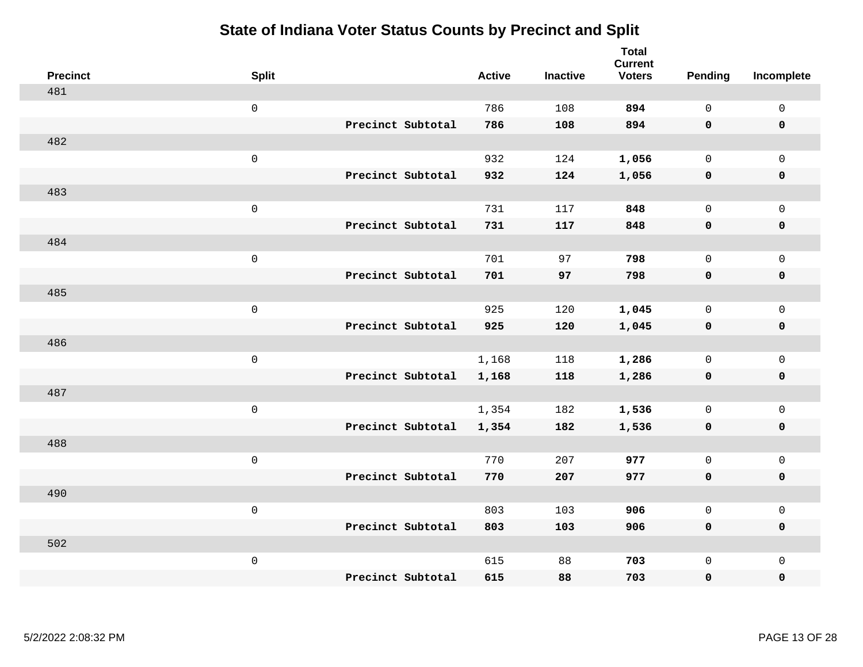| <b>Precinct</b> | <b>Split</b>        |                   | <b>Active</b> | <b>Inactive</b> | <b>Total</b><br><b>Current</b><br><b>Voters</b> | <b>Pending</b> | Incomplete          |
|-----------------|---------------------|-------------------|---------------|-----------------|-------------------------------------------------|----------------|---------------------|
| 481             |                     |                   |               |                 |                                                 |                |                     |
|                 | $\mathsf 0$         |                   | 786           | 108             | 894                                             | $\mathsf{O}$   | $\mathsf{O}\xspace$ |
|                 |                     | Precinct Subtotal | 786           | 108             | 894                                             | $\mathbf 0$    | $\mathbf 0$         |
| 482             |                     |                   |               |                 |                                                 |                |                     |
|                 | $\mathsf{O}\xspace$ |                   | 932           | 124             | 1,056                                           | $\mathbf 0$    | $\mathsf{O}$        |
|                 |                     | Precinct Subtotal | 932           | 124             | 1,056                                           | $\mathbf 0$    | 0                   |
| 483             |                     |                   |               |                 |                                                 |                |                     |
|                 | $\mathsf 0$         |                   | 731           | 117             | 848                                             | $\mathbf 0$    | $\mathsf{O}\xspace$ |
|                 |                     | Precinct Subtotal | 731           | 117             | 848                                             | 0              | $\pmb{0}$           |
| 484             |                     |                   |               |                 |                                                 |                |                     |
|                 | $\mathsf 0$         |                   | 701           | 97              | 798                                             | $\mathbf 0$    | $\mathsf{O}$        |
|                 |                     | Precinct Subtotal | 701           | 97              | 798                                             | 0              | 0                   |
| 485             |                     |                   |               |                 |                                                 |                |                     |
|                 | $\mathsf{O}\xspace$ |                   | 925           | 120             | 1,045                                           | $\mathbf 0$    | $\mathsf{O}\xspace$ |
|                 |                     | Precinct Subtotal | 925           | 120             | 1,045                                           | 0              | 0                   |
| 486             |                     |                   |               |                 |                                                 |                |                     |
|                 | $\mathsf 0$         |                   | 1,168         | 118             | 1,286                                           | $\mathbf 0$    | $\mathsf{O}$        |
|                 |                     | Precinct Subtotal | 1,168         | 118             | 1,286                                           | $\mathbf 0$    | 0                   |
| 487             |                     |                   |               |                 |                                                 |                |                     |
|                 | $\mathsf 0$         |                   | 1,354         | 182             | 1,536                                           | $\mathsf{O}$   | $\mathsf{O}$        |
|                 |                     | Precinct Subtotal | 1,354         | 182             | 1,536                                           | 0              | 0                   |
| 488             |                     |                   |               |                 |                                                 |                |                     |
|                 | $\mathsf 0$         |                   | 770           | 207             | 977                                             | $\mathbf 0$    | $\mathsf{O}$        |
|                 |                     | Precinct Subtotal | 770           | 207             | 977                                             | 0              | 0                   |
| 490             |                     |                   |               |                 |                                                 |                |                     |
|                 | $\mathsf 0$         |                   | 803           | 103             | 906                                             | $\mathbf 0$    | $\mathsf{O}$        |
|                 |                     | Precinct Subtotal | 803           | 103             | 906                                             | 0              | 0                   |
| 502             |                     |                   |               |                 |                                                 |                |                     |
|                 | $\mathsf 0$         |                   | 615           | 88              | 703                                             | $\mathsf{O}$   | $\mathsf{O}$        |
|                 |                     | Precinct Subtotal | 615           | 88              | 703                                             | 0              | 0                   |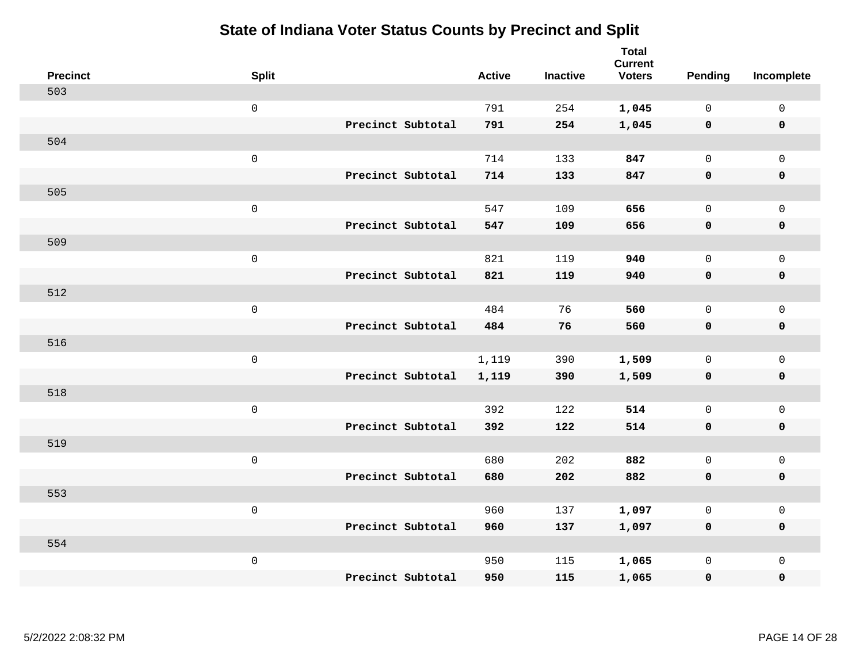| <b>Precinct</b> | <b>Split</b>        |                   | <b>Active</b> | <b>Inactive</b> | <b>Total</b><br><b>Current</b><br><b>Voters</b> | Pending      | Incomplete          |
|-----------------|---------------------|-------------------|---------------|-----------------|-------------------------------------------------|--------------|---------------------|
| 503             |                     |                   |               |                 |                                                 |              |                     |
|                 | $\mathsf{O}\xspace$ |                   | 791           | 254             | 1,045                                           | $\mathbf 0$  | $\mathsf{O}\xspace$ |
|                 |                     | Precinct Subtotal | 791           | 254             | 1,045                                           | $\mathbf 0$  | $\pmb{0}$           |
| 504             |                     |                   |               |                 |                                                 |              |                     |
|                 | $\mathsf 0$         |                   | 714           | 133             | 847                                             | $\mathbf{0}$ | $\mathbf{0}$        |
|                 |                     | Precinct Subtotal | 714           | 133             | 847                                             | $\mathbf 0$  | $\pmb{0}$           |
| 505             |                     |                   |               |                 |                                                 |              |                     |
|                 | $\mathsf 0$         |                   | 547           | 109             | 656                                             | $\mathbf 0$  | $\mathsf{O}$        |
|                 |                     | Precinct Subtotal | 547           | 109             | 656                                             | 0            | 0                   |
| 509             |                     |                   |               |                 |                                                 |              |                     |
|                 | $\mathsf{O}\xspace$ |                   | 821           | 119             | 940                                             | $\mathbf 0$  | $\mathsf{O}$        |
|                 |                     | Precinct Subtotal | 821           | 119             | 940                                             | 0            | 0                   |
| 512             |                     |                   |               |                 |                                                 |              |                     |
|                 | $\mathsf{O}\xspace$ |                   | 484           | 76              | 560                                             | $\mathbf 0$  | $\mathsf{O}\xspace$ |
|                 |                     | Precinct Subtotal | 484           | 76              | 560                                             | 0            | 0                   |
| 516             |                     |                   |               |                 |                                                 |              |                     |
|                 | $\mathsf{O}\xspace$ |                   | 1,119         | 390             | 1,509                                           | $\mathbf 0$  | $\mathsf{O}\xspace$ |
|                 |                     | Precinct Subtotal | 1,119         | 390             | 1,509                                           | $\mathbf 0$  | 0                   |
| 518             |                     |                   |               |                 |                                                 |              |                     |
|                 | $\mathsf{O}\xspace$ |                   | 392           | 122             | 514                                             | $\mathbf 0$  | $\mathbf 0$         |
|                 |                     | Precinct Subtotal | 392           | 122             | 514                                             | 0            | 0                   |
| 519             |                     |                   |               |                 |                                                 |              |                     |
|                 | $\mathsf 0$         |                   | 680           | 202             | 882                                             | $\mathsf{O}$ | $\mathsf{O}$        |
|                 |                     | Precinct Subtotal | 680           | 202             | 882                                             | 0            | 0                   |
| 553             |                     |                   |               |                 |                                                 |              |                     |
|                 | $\mathsf 0$         |                   | 960           | 137             | 1,097                                           | $\mathsf{O}$ | $\mathsf{O}$        |
|                 |                     | Precinct Subtotal | 960           | 137             | 1,097                                           | 0            | 0                   |
| 554             |                     |                   |               |                 |                                                 |              |                     |
|                 | $\mathsf 0$         |                   | 950           | 115             | 1,065                                           | $\mathsf{O}$ | $\mathsf{O}$        |
|                 |                     | Precinct Subtotal | 950           | 115             | 1,065                                           | 0            | 0                   |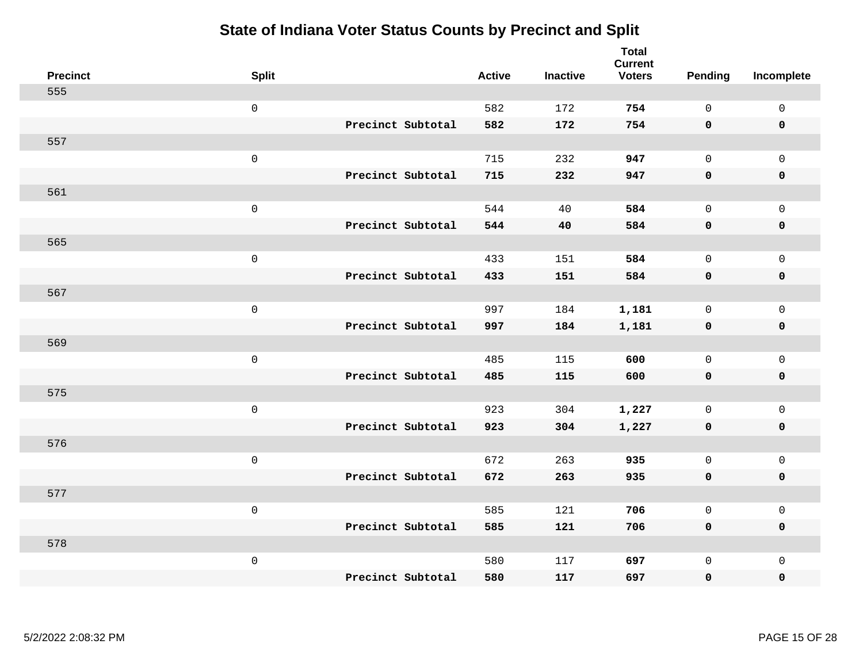| <b>Precinct</b> | <b>Split</b>        |                   | <b>Active</b> | <b>Inactive</b> | <b>Total</b><br><b>Current</b><br><b>Voters</b> | Pending      | Incomplete          |
|-----------------|---------------------|-------------------|---------------|-----------------|-------------------------------------------------|--------------|---------------------|
| 555             |                     |                   |               |                 |                                                 |              |                     |
|                 | $\mathsf 0$         |                   | 582           | 172             | 754                                             | $\mathbf{0}$ | $\mathsf{O}\xspace$ |
|                 |                     | Precinct Subtotal | 582           | 172             | 754                                             | $\mathbf 0$  | $\mathbf 0$         |
| 557             |                     |                   |               |                 |                                                 |              |                     |
|                 | $\mathsf 0$         |                   | 715           | 232             | 947                                             | $\mathbf{0}$ | $\mathsf{O}$        |
|                 |                     | Precinct Subtotal | 715           | 232             | 947                                             | $\mathbf 0$  | 0                   |
| 561             |                     |                   |               |                 |                                                 |              |                     |
|                 | $\mathsf 0$         |                   | 544           | 40              | 584                                             | $\mathbf 0$  | $\mathsf{O}$        |
|                 |                     | Precinct Subtotal | 544           | 40              | 584                                             | 0            | 0                   |
| 565             |                     |                   |               |                 |                                                 |              |                     |
|                 | $\mathsf 0$         |                   | 433           | 151             | 584                                             | $\mathbf{0}$ | $\mathsf{O}\xspace$ |
|                 |                     | Precinct Subtotal | 433           | 151             | 584                                             | $\mathbf 0$  | $\pmb{0}$           |
| 567             |                     |                   |               |                 |                                                 |              |                     |
|                 | $\mathbf 0$         |                   | 997           | 184             | 1,181                                           | $\mathbf 0$  | $\mathsf{O}\xspace$ |
|                 |                     | Precinct Subtotal | 997           | 184             | 1,181                                           | 0            | $\pmb{0}$           |
| 569             |                     |                   |               |                 |                                                 |              |                     |
|                 | $\mathsf{O}\xspace$ |                   | 485           | 115             | 600                                             | $\mathsf{O}$ | $\mathsf{O}\xspace$ |
|                 |                     | Precinct Subtotal | 485           | 115             | 600                                             | $\mathbf 0$  | 0                   |
| 575             |                     |                   |               |                 |                                                 |              |                     |
|                 | $\mathbf 0$         |                   | 923           | 304             | 1,227                                           | $\mathbf 0$  | $\mathsf{O}\xspace$ |
|                 |                     | Precinct Subtotal | 923           | 304             | 1,227                                           | 0            | 0                   |
| 576             |                     |                   |               |                 |                                                 |              |                     |
|                 | $\mathsf{O}\xspace$ |                   | 672           | 263             | 935                                             | $\mathbf 0$  | $\mathsf{O}$        |
|                 |                     | Precinct Subtotal | 672           | 263             | 935                                             | 0            | 0                   |
| 577             |                     |                   |               |                 |                                                 |              |                     |
|                 | $\mathbf 0$         |                   | 585           | 121             | 706                                             | $\mathsf{O}$ | $\mathsf{O}\xspace$ |
|                 |                     | Precinct Subtotal | 585           | 121             | 706                                             | 0            | 0                   |
| 578             |                     |                   |               |                 |                                                 |              |                     |
|                 | $\mathbf 0$         |                   | 580           | 117             | 697                                             | $\mathsf{O}$ | $\mathsf{O}$        |
|                 |                     | Precinct Subtotal | 580           | 117             | 697                                             | 0            | 0                   |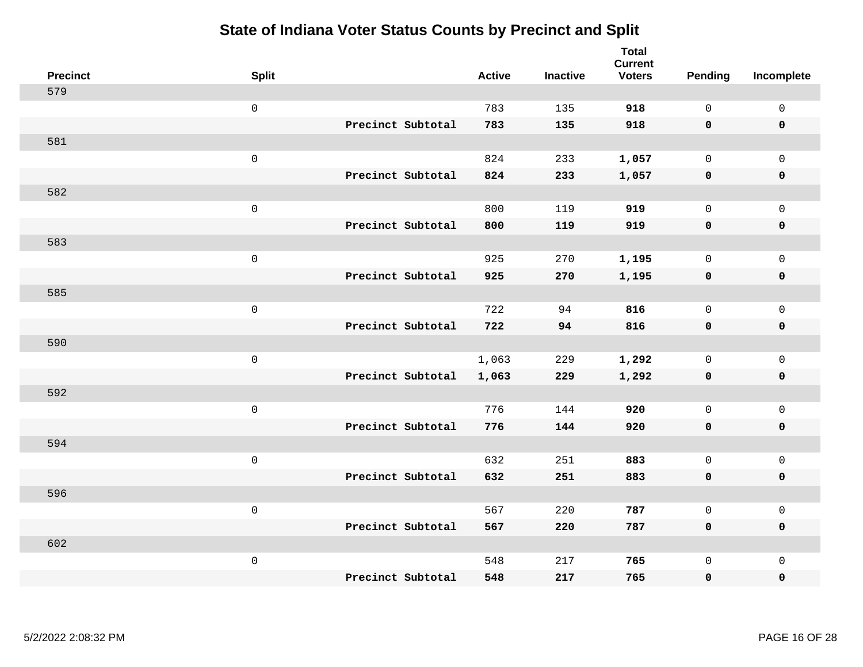| <b>Precinct</b> | <b>Split</b>        | <b>Active</b> | <b>Inactive</b> | <b>Total</b><br><b>Current</b><br><b>Voters</b> | Pending      | Incomplete          |
|-----------------|---------------------|---------------|-----------------|-------------------------------------------------|--------------|---------------------|
| 579             |                     |               |                 |                                                 |              |                     |
|                 | $\mathsf{O}\xspace$ | 783           | 135             | 918                                             | $\mathbf 0$  | $\mathsf{O}\xspace$ |
|                 | Precinct Subtotal   | 783           | 135             | 918                                             | $\mathbf 0$  | $\mathbf 0$         |
| 581             |                     |               |                 |                                                 |              |                     |
|                 | $\mathsf{O}\xspace$ | 824           | 233             | 1,057                                           | $\mathbf 0$  | $\mathsf{O}$        |
|                 | Precinct Subtotal   | 824           | 233             | 1,057                                           | 0            | 0                   |
| 582             |                     |               |                 |                                                 |              |                     |
|                 | $\mathsf 0$         | 800           | 119             | 919                                             | $\mathbf 0$  | $\mathsf{O}$        |
|                 | Precinct Subtotal   | 800           | 119             | 919                                             | 0            | 0                   |
| 583             |                     |               |                 |                                                 |              |                     |
|                 | $\mathsf{O}\xspace$ | 925           | 270             | 1,195                                           | $\mathbf 0$  | $\mathsf{O}$        |
|                 | Precinct Subtotal   | 925           | 270             | 1,195                                           | $\mathbf 0$  | $\pmb{0}$           |
| 585             |                     |               |                 |                                                 |              |                     |
|                 | $\mathsf{O}\xspace$ | 722           | 94              | 816                                             | $\mathbf 0$  | $\mathbf 0$         |
|                 | Precinct Subtotal   | 722           | 94              | 816                                             | 0            | $\mathbf 0$         |
| 590             |                     |               |                 |                                                 |              |                     |
|                 | $\mathsf{O}\xspace$ | 1,063         | 229             | 1,292                                           | $\mathbf 0$  | $\mathsf{O}$        |
|                 | Precinct Subtotal   | 1,063         | 229             | 1,292                                           | 0            | 0                   |
| 592             |                     |               |                 |                                                 |              |                     |
|                 | $\mathsf{O}\xspace$ | 776           | 144             | 920                                             | $\mathbf{0}$ | $\mathsf{O}\xspace$ |
|                 | Precinct Subtotal   | 776           | 144             | 920                                             | 0            | 0                   |
| 594             |                     |               |                 |                                                 |              |                     |
|                 | $\mathsf 0$         | 632           | 251             | 883                                             | $\mathbf 0$  | $\mathsf{O}$        |
|                 | Precinct Subtotal   | 632           | 251             | 883                                             | 0            | 0                   |
| 596             |                     |               |                 |                                                 |              |                     |
|                 | $\mathsf{O}\xspace$ | 567           | 220             | 787                                             | 0            | $\mathsf{O}$        |
|                 | Precinct Subtotal   | 567           | 220             | 787                                             | $\mathbf 0$  | 0                   |
| 602             |                     |               |                 |                                                 |              |                     |
|                 | $\mathsf 0$         | 548           | 217             | 765                                             | $\mathsf{O}$ | $\mathsf{O}$        |
|                 | Precinct Subtotal   | 548           | 217             | 765                                             | 0            | 0                   |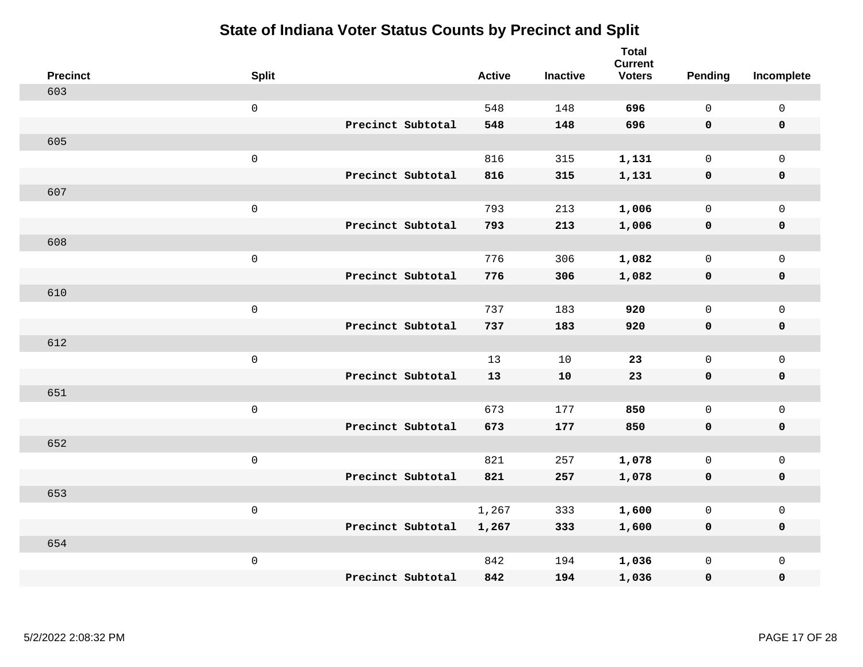| <b>Precinct</b> | <b>Split</b>        |                   | <b>Active</b> | <b>Inactive</b> | <b>Total</b><br><b>Current</b><br><b>Voters</b> | Pending      | Incomplete          |
|-----------------|---------------------|-------------------|---------------|-----------------|-------------------------------------------------|--------------|---------------------|
| 603             |                     |                   |               |                 |                                                 |              |                     |
|                 | $\mathsf{O}\xspace$ |                   | 548           | 148             | 696                                             | $\mathbf 0$  | $\mathsf{O}\xspace$ |
|                 |                     | Precinct Subtotal | 548           | 148             | 696                                             | $\mathbf 0$  | $\mathbf 0$         |
| 605             |                     |                   |               |                 |                                                 |              |                     |
|                 | $\mathsf{O}\xspace$ |                   | 816           | 315             | 1,131                                           | $\mathsf{O}$ | $\mathsf{O}$        |
|                 |                     | Precinct Subtotal | 816           | 315             | 1,131                                           | 0            | 0                   |
| 607             |                     |                   |               |                 |                                                 |              |                     |
|                 | $\mathsf{O}\xspace$ |                   | 793           | 213             | 1,006                                           | $\mathsf{O}$ | $\mathsf{O}$        |
|                 |                     | Precinct Subtotal | 793           | 213             | 1,006                                           | $\mathbf 0$  | 0                   |
| 608             |                     |                   |               |                 |                                                 |              |                     |
|                 | $\mathsf{O}\xspace$ |                   | 776           | 306             | 1,082                                           | $\mathbf{0}$ | $\mathsf{O}\xspace$ |
|                 |                     | Precinct Subtotal | 776           | 306             | 1,082                                           | $\mathbf 0$  | $\pmb{0}$           |
| 610             |                     |                   |               |                 |                                                 |              |                     |
|                 | $\mathsf{O}\xspace$ |                   | 737           | 183             | 920                                             | $\mathbf 0$  | $\mathsf{O}\xspace$ |
|                 |                     | Precinct Subtotal | 737           | 183             | 920                                             | 0            | $\pmb{0}$           |
| 612             |                     |                   |               |                 |                                                 |              |                     |
|                 | $\mathsf{O}\xspace$ |                   | 13            | 10              | 23                                              | $\mathbf 0$  | $\mathsf{O}$        |
|                 |                     | Precinct Subtotal | 13            | 10              | 23                                              | $\mathbf 0$  | 0                   |
| 651             |                     |                   |               |                 |                                                 |              |                     |
|                 | $\mathsf{O}\xspace$ |                   | 673           | 177             | 850                                             | $\mathbf 0$  | $\mathsf{O}\xspace$ |
|                 |                     | Precinct Subtotal | 673           | 177             | 850                                             | 0            | 0                   |
| 652             |                     |                   |               |                 |                                                 |              |                     |
|                 | $\mathsf 0$         |                   | 821           | 257             | 1,078                                           | $\mathbf 0$  | $\mathsf{O}\xspace$ |
|                 |                     | Precinct Subtotal | 821           | 257             | 1,078                                           | $\mathbf 0$  | 0                   |
| 653             |                     |                   |               |                 |                                                 |              |                     |
|                 | $\mathsf{O}\xspace$ |                   | 1,267         | 333             | 1,600                                           | 0            | $\mathsf{O}\xspace$ |
|                 |                     | Precinct Subtotal | 1,267         | 333             | 1,600                                           | 0            | 0                   |
| 654             |                     |                   |               |                 |                                                 |              |                     |
|                 | $\mathsf{O}\xspace$ |                   | 842           | 194             | 1,036                                           | $\mathsf{O}$ | $\mathsf{O}$        |
|                 |                     | Precinct Subtotal | 842           | 194             | 1,036                                           | 0            | 0                   |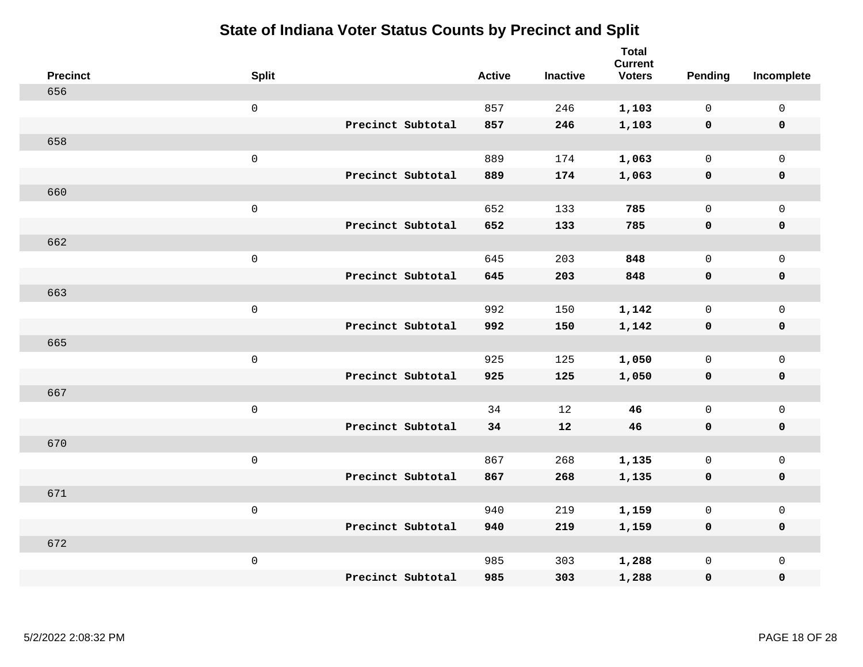| <b>Precinct</b> | <b>Split</b> |                   | <b>Active</b> | <b>Inactive</b> | <b>Total</b><br><b>Current</b><br><b>Voters</b> | <b>Pending</b>      | Incomplete          |
|-----------------|--------------|-------------------|---------------|-----------------|-------------------------------------------------|---------------------|---------------------|
| 656             |              |                   |               |                 |                                                 |                     |                     |
|                 | $\mathbf 0$  |                   | 857           | 246             | 1,103                                           | $\mathbf 0$         | $\mathsf{O}$        |
|                 |              | Precinct Subtotal | 857           | 246             | 1,103                                           | $\mathbf 0$         | $\pmb{0}$           |
| 658             |              |                   |               |                 |                                                 |                     |                     |
|                 | $\mathsf{O}$ |                   | 889           | 174             | 1,063                                           | $\mathsf{O}$        | $\mathsf{O}$        |
|                 |              | Precinct Subtotal | 889           | 174             | 1,063                                           | 0                   | 0                   |
| 660             |              |                   |               |                 |                                                 |                     |                     |
|                 | $\mathbf 0$  |                   | 652           | 133             | 785                                             | $\mathbf 0$         | $\mathsf{O}\xspace$ |
|                 |              | Precinct Subtotal | 652           | 133             | 785                                             | $\mathbf 0$         | 0                   |
| 662             |              |                   |               |                 |                                                 |                     |                     |
|                 | $\mathbf 0$  |                   | 645           | 203             | 848                                             | $\mathbf 0$         | $\mathsf{O}\xspace$ |
|                 |              | Precinct Subtotal | 645           | 203             | 848                                             | $\mathbf 0$         | 0                   |
| 663             |              |                   |               |                 |                                                 |                     |                     |
|                 | $\mathbf 0$  |                   | 992           | 150             | 1,142                                           | $\mathbf 0$         | $\mathsf{O}$        |
|                 |              | Precinct Subtotal | 992           | 150             | 1,142                                           | $\mathbf 0$         | 0                   |
| 665             |              |                   |               |                 |                                                 |                     |                     |
|                 | $\mathbf 0$  |                   | 925           | 125             | 1,050                                           | $\mathsf{O}$        | $\mathsf{O}$        |
|                 |              | Precinct Subtotal | 925           | 125             | 1,050                                           | 0                   | 0                   |
| 667             |              |                   |               |                 |                                                 |                     |                     |
|                 | $\mathbf 0$  |                   | 34            | 12              | 46                                              | $\mathsf{O}$        | $\mathsf{O}$        |
|                 |              | Precinct Subtotal | 34            | 12              | 46                                              | 0                   | 0                   |
| 670             |              |                   |               |                 |                                                 |                     |                     |
|                 | $\mathbf 0$  |                   | 867           | 268             | 1,135                                           | $\mathsf{O}$        | $\mathsf{O}\xspace$ |
|                 |              | Precinct Subtotal | 867           | 268             | 1,135                                           | 0                   | 0                   |
| 671             |              |                   |               |                 |                                                 |                     |                     |
|                 | $\mathbf 0$  |                   | 940           | 219             | 1,159                                           | $\mathsf{O}\xspace$ | $\mathsf{O}\xspace$ |
|                 |              | Precinct Subtotal | 940           | 219             | 1,159                                           | 0                   | 0                   |
| 672             |              |                   |               |                 |                                                 |                     |                     |
|                 | $\mathbf 0$  |                   | 985           | 303             | 1,288                                           | $\mathsf{O}$        | $\mathsf{O}$        |
|                 |              | Precinct Subtotal | 985           | 303             | 1,288                                           | 0                   | 0                   |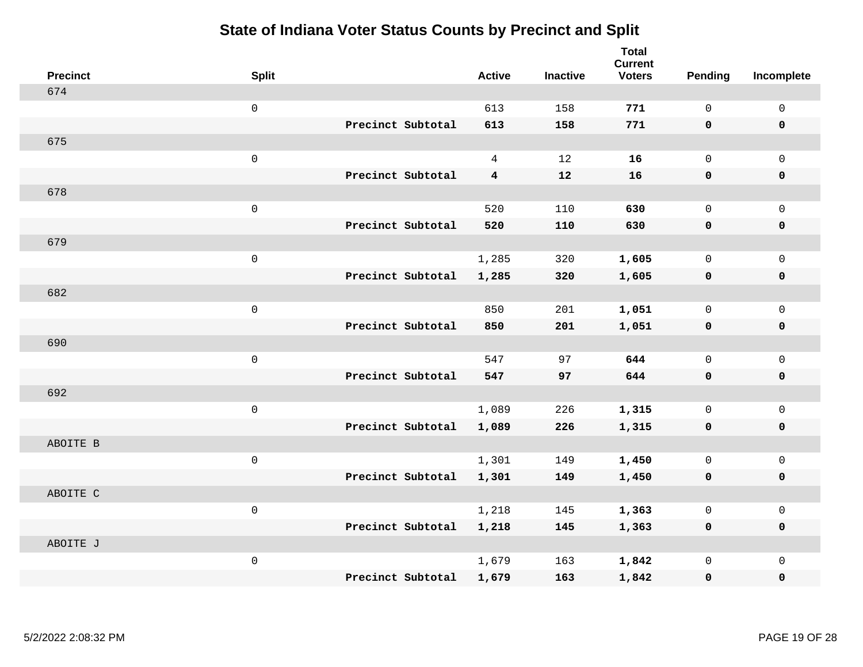| <b>Precinct</b> | <b>Split</b>        |                   | <b>Active</b>  | <b>Inactive</b> | <b>Total</b><br><b>Current</b><br><b>Voters</b> | Pending      | Incomplete          |
|-----------------|---------------------|-------------------|----------------|-----------------|-------------------------------------------------|--------------|---------------------|
| 674             |                     |                   |                |                 |                                                 |              |                     |
|                 | $\mathsf 0$         |                   | 613            | 158             | 771                                             | $\mathsf{O}$ | $\mathsf 0$         |
|                 |                     | Precinct Subtotal | 613            | 158             | 771                                             | $\mathbf 0$  | 0                   |
| 675             |                     |                   |                |                 |                                                 |              |                     |
|                 | $\mathsf{O}\xspace$ |                   | $\overline{4}$ | 12              | 16                                              | $\mathsf{O}$ | $\mathsf{O}$        |
|                 |                     | Precinct Subtotal | $\overline{4}$ | 12              | 16                                              | 0            | 0                   |
| 678             |                     |                   |                |                 |                                                 |              |                     |
|                 | $\mathsf{O}\xspace$ |                   | 520            | 110             | 630                                             | $\mathsf{O}$ | $\mathsf{O}$        |
|                 |                     | Precinct Subtotal | 520            | 110             | 630                                             | 0            | $\mathbf 0$         |
| 679             |                     |                   |                |                 |                                                 |              |                     |
|                 | $\mathsf 0$         |                   | 1,285          | 320             | 1,605                                           | $\mathsf{O}$ | $\mathsf{O}$        |
|                 |                     | Precinct Subtotal | 1,285          | 320             | 1,605                                           | 0            | 0                   |
| 682             |                     |                   |                |                 |                                                 |              |                     |
|                 | $\mathsf{O}\xspace$ |                   | 850            | 201             | 1,051                                           | $\mathbf{0}$ | $\mathsf{O}\xspace$ |
|                 |                     | Precinct Subtotal | 850            | 201             | 1,051                                           | $\mathbf 0$  | 0                   |
| 690             |                     |                   |                |                 |                                                 |              |                     |
|                 | $\mathbf 0$         |                   | 547            | 97              | 644                                             | $\mathbf{0}$ | $\mathsf{O}$        |
|                 |                     | Precinct Subtotal | 547            | 97              | 644                                             | $\mathbf 0$  | $\pmb{0}$           |
| 692             |                     |                   |                |                 |                                                 |              |                     |
|                 | $\mathbf 0$         |                   | 1,089          | 226             | 1,315                                           | $\mathsf{O}$ | $\mathsf{O}$        |
|                 |                     | Precinct Subtotal | 1,089          | 226             | 1,315                                           | 0            | 0                   |
| ABOITE B        |                     |                   |                |                 |                                                 |              |                     |
|                 | $\mathsf{O}\xspace$ |                   | 1,301          | 149             | 1,450                                           | $\mathbf{0}$ | $\mathsf{O}\xspace$ |
|                 |                     | Precinct Subtotal | 1,301          | 149             | 1,450                                           | 0            | 0                   |
| ABOITE C        |                     |                   |                |                 |                                                 |              |                     |
|                 | $\mathsf 0$         |                   | 1,218          | 145             | 1,363                                           | $\mathbf 0$  | $\mathsf 0$         |
|                 |                     | Precinct Subtotal | 1,218          | 145             | 1,363                                           | 0            | 0                   |
| ABOITE J        |                     |                   |                |                 |                                                 |              |                     |
|                 | $\mathbf 0$         |                   | 1,679          | 163             | 1,842                                           | $\mathsf{O}$ | $\mathsf{O}$        |
|                 |                     | Precinct Subtotal | 1,679          | 163             | 1,842                                           | 0            | 0                   |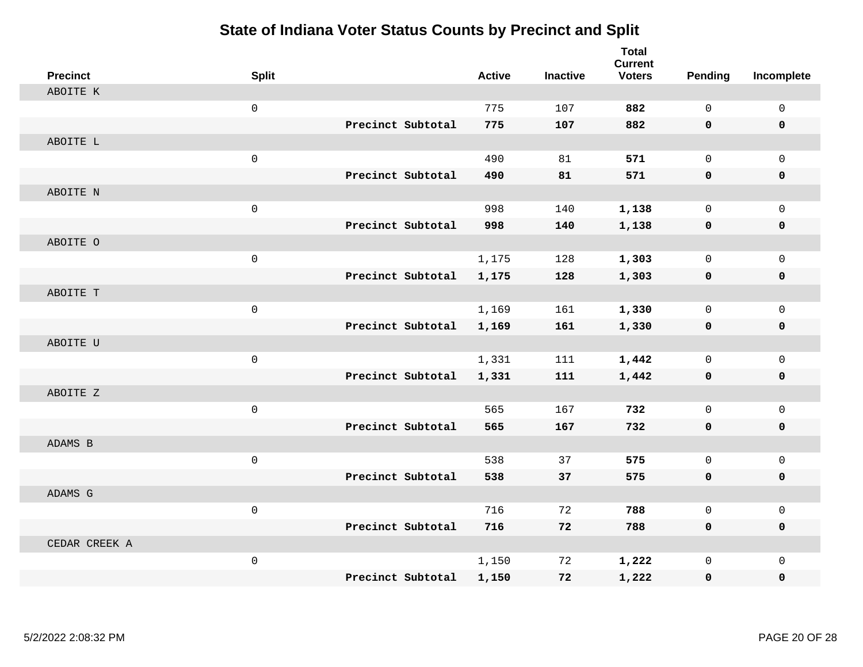| <b>Precinct</b> | <b>Split</b>        |                   | <b>Active</b> | <b>Inactive</b> | <b>Total</b><br><b>Current</b><br><b>Voters</b> | Pending     | Incomplete   |
|-----------------|---------------------|-------------------|---------------|-----------------|-------------------------------------------------|-------------|--------------|
| ABOITE K        |                     |                   |               |                 |                                                 |             |              |
|                 | $\mathsf 0$         |                   | 775           | 107             | 882                                             | $\mathbf 0$ | $\mathbf 0$  |
|                 |                     | Precinct Subtotal | 775           | 107             | 882                                             | 0           | $\mathbf 0$  |
| ABOITE L        |                     |                   |               |                 |                                                 |             |              |
|                 | $\mathsf{O}\xspace$ |                   | 490           | 81              | 571                                             | $\mathbf 0$ | $\mathbf{0}$ |
|                 |                     | Precinct Subtotal | 490           | 81              | 571                                             | $\mathbf 0$ | 0            |
| ABOITE N        |                     |                   |               |                 |                                                 |             |              |
|                 | $\mathsf{O}\xspace$ |                   | 998           | 140             | 1,138                                           | $\mathbf 0$ | $\mathsf{O}$ |
|                 |                     | Precinct Subtotal | 998           | 140             | 1,138                                           | 0           | 0            |
| ABOITE O        |                     |                   |               |                 |                                                 |             |              |
|                 | $\mathbf 0$         |                   | 1,175         | 128             | 1,303                                           | $\mathbf 0$ | $\mathsf{O}$ |
|                 |                     | Precinct Subtotal | 1,175         | 128             | 1,303                                           | 0           | 0            |
| ABOITE T        |                     |                   |               |                 |                                                 |             |              |
|                 | $\mathbf 0$         |                   | 1,169         | 161             | 1,330                                           | $\Omega$    | $\mathbf 0$  |
|                 |                     | Precinct Subtotal | 1,169         | 161             | 1,330                                           | 0           | 0            |
| ABOITE U        |                     |                   |               |                 |                                                 |             |              |
|                 | $\mathsf{O}\xspace$ |                   | 1,331         | 111             | 1,442                                           | $\mathbf 0$ | $\mathsf{O}$ |
|                 |                     | Precinct Subtotal | 1,331         | 111             | 1,442                                           | 0           | 0            |
| ABOITE Z        |                     |                   |               |                 |                                                 |             |              |
|                 | $\mathsf{O}\xspace$ |                   | 565           | 167             | 732                                             | $\mathbf 0$ | $\mathbf 0$  |
|                 |                     | Precinct Subtotal | 565           | 167             | 732                                             | 0           | 0            |
| ADAMS B         |                     |                   |               |                 |                                                 |             |              |
|                 | $\mathbf 0$         |                   | 538           | 37              | 575                                             | $\mathbf 0$ | $\mathsf{O}$ |
|                 |                     | Precinct Subtotal | 538           | 37              | 575                                             | $\mathbf 0$ | 0            |
| ADAMS G         |                     |                   |               |                 |                                                 |             |              |
|                 | $\mathsf 0$         |                   | 716           | 72              | 788                                             | $\mathbf 0$ | $\mathsf{O}$ |
|                 |                     | Precinct Subtotal | 716           | 72              | 788                                             | 0           | 0            |
| CEDAR CREEK A   |                     |                   |               |                 |                                                 |             |              |
|                 | $\mathsf{O}\xspace$ |                   | 1,150         | 72              | 1,222                                           | $\mathbf 0$ | $\mathsf{O}$ |
|                 |                     | Precinct Subtotal | 1,150         | 72              | 1,222                                           | 0           | 0            |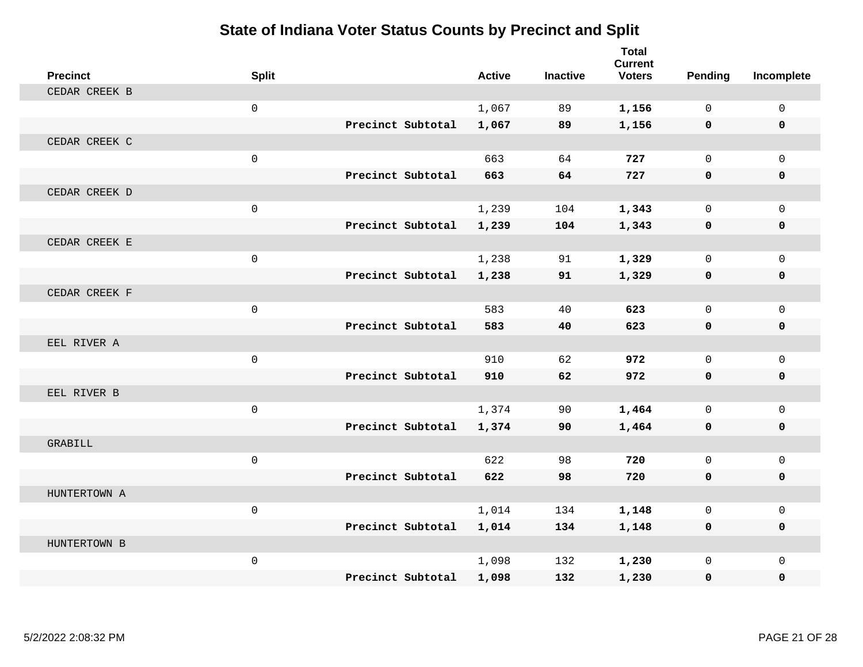| <b>Precinct</b> | <b>Split</b>        |                   | <b>Active</b> | <b>Inactive</b> | <b>Total</b><br><b>Current</b><br><b>Voters</b> | Pending     | Incomplete   |
|-----------------|---------------------|-------------------|---------------|-----------------|-------------------------------------------------|-------------|--------------|
| CEDAR CREEK B   |                     |                   |               |                 |                                                 |             |              |
|                 | $\mathbf 0$         |                   | 1,067         | 89              | 1,156                                           | $\Omega$    | $\mathsf{O}$ |
|                 |                     | Precinct Subtotal | 1,067         | 89              | 1,156                                           | $\mathbf 0$ | 0            |
| CEDAR CREEK C   |                     |                   |               |                 |                                                 |             |              |
|                 | $\mathbf 0$         |                   | 663           | 64              | 727                                             | $\mathbf 0$ | $\mathbf{0}$ |
|                 |                     | Precinct Subtotal | 663           | 64              | 727                                             | $\mathbf 0$ | 0            |
| CEDAR CREEK D   |                     |                   |               |                 |                                                 |             |              |
|                 | $\mathbf 0$         |                   | 1,239         | 104             | 1,343                                           | $\Omega$    | $\mathbf 0$  |
|                 |                     | Precinct Subtotal | 1,239         | 104             | 1,343                                           | 0           | 0            |
| CEDAR CREEK E   |                     |                   |               |                 |                                                 |             |              |
|                 | $\mathsf{O}\xspace$ |                   | 1,238         | 91              | 1,329                                           | $\mathbf 0$ | $\mathbf{0}$ |
|                 |                     | Precinct Subtotal | 1,238         | 91              | 1,329                                           | $\mathbf 0$ | 0            |
| CEDAR CREEK F   |                     |                   |               |                 |                                                 |             |              |
|                 | $\mathbf 0$         |                   | 583           | 40              | 623                                             | $\mathbf 0$ | $\mathbf 0$  |
|                 |                     | Precinct Subtotal | 583           | 40              | 623                                             | $\mathbf 0$ | 0            |
| EEL RIVER A     |                     |                   |               |                 |                                                 |             |              |
|                 | $\mathbf 0$         |                   | 910           | 62              | 972                                             | $\Omega$    | $\mathbf 0$  |
|                 |                     | Precinct Subtotal | 910           | 62              | 972                                             | $\mathbf 0$ | 0            |
| EEL RIVER B     |                     |                   |               |                 |                                                 |             |              |
|                 | $\mathbf 0$         |                   | 1,374         | 90              | 1,464                                           | $\mathbf 0$ | $\mathbf 0$  |
|                 |                     | Precinct Subtotal | 1,374         | 90              | 1,464                                           | $\mathbf 0$ | $\mathbf 0$  |
| GRABILL         |                     |                   |               |                 |                                                 |             |              |
|                 | $\mathbf 0$         |                   | 622           | 98              | 720                                             | $\mathbf 0$ | $\mathbf 0$  |
|                 |                     | Precinct Subtotal | 622           | 98              | 720                                             | $\mathbf 0$ | 0            |
| HUNTERTOWN A    |                     |                   |               |                 |                                                 |             |              |
|                 | $\mathbf 0$         |                   | 1,014         | 134             | 1,148                                           | $\mathbf 0$ | $\mathbf 0$  |
|                 |                     | Precinct Subtotal | 1,014         | 134             | 1,148                                           | $\mathbf 0$ | $\mathbf 0$  |
| HUNTERTOWN B    |                     |                   |               |                 |                                                 |             |              |
|                 | $\mathbf 0$         |                   | 1,098         | 132             | 1,230                                           | $\mathbf 0$ | $\mathbf 0$  |
|                 |                     | Precinct Subtotal | 1,098         | 132             | 1,230                                           | $\mathbf 0$ | $\mathbf{0}$ |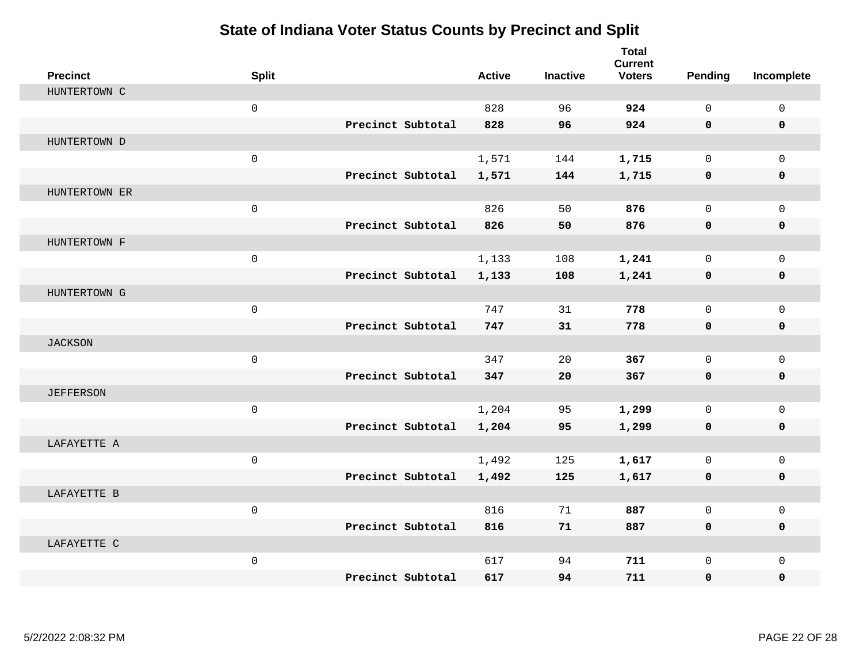| <b>Precinct</b>  | <b>Split</b>        |                   | <b>Active</b> | <b>Inactive</b> | <b>Total</b><br><b>Current</b><br><b>Voters</b> | <b>Pending</b> | Incomplete   |
|------------------|---------------------|-------------------|---------------|-----------------|-------------------------------------------------|----------------|--------------|
| HUNTERTOWN C     |                     |                   |               |                 |                                                 |                |              |
|                  | $\mathbf 0$         |                   | 828           | 96              | 924                                             | $\mathbf 0$    | $\mathsf{O}$ |
|                  |                     | Precinct Subtotal | 828           | 96              | 924                                             | 0              | 0            |
| HUNTERTOWN D     |                     |                   |               |                 |                                                 |                |              |
|                  | $\mathsf{O}\xspace$ |                   | 1,571         | 144             | 1,715                                           | $\Omega$       | $\Omega$     |
|                  |                     | Precinct Subtotal | 1,571         | 144             | 1,715                                           | 0              | 0            |
| HUNTERTOWN ER    |                     |                   |               |                 |                                                 |                |              |
|                  | $\mathbf 0$         |                   | 826           | 50              | 876                                             | $\mathbf 0$    | $\mathbf 0$  |
|                  |                     | Precinct Subtotal | 826           | 50              | 876                                             | 0              | $\mathbf 0$  |
| HUNTERTOWN F     |                     |                   |               |                 |                                                 |                |              |
|                  | $\mathbf 0$         |                   | 1,133         | 108             | 1,241                                           | $\mathbf 0$    | $\mathbf{0}$ |
|                  |                     | Precinct Subtotal | 1,133         | 108             | 1,241                                           | 0              | 0            |
| HUNTERTOWN G     |                     |                   |               |                 |                                                 |                |              |
|                  | $\mathbf 0$         |                   | 747           | 31              | 778                                             | $\Omega$       | $\mathbf 0$  |
|                  |                     | Precinct Subtotal | 747           | 31              | 778                                             | 0              | 0            |
| <b>JACKSON</b>   |                     |                   |               |                 |                                                 |                |              |
|                  | $\mathbf 0$         |                   | 347           | 20              | 367                                             | $\mathbf 0$    | $\mathbf{0}$ |
|                  |                     | Precinct Subtotal | 347           | 20              | 367                                             | 0              | 0            |
| <b>JEFFERSON</b> |                     |                   |               |                 |                                                 |                |              |
|                  | $\mathbf 0$         |                   | 1,204         | 95              | 1,299                                           | $\Omega$       | $\mathbf 0$  |
|                  |                     | Precinct Subtotal | 1,204         | 95              | 1,299                                           | 0              | $\mathbf 0$  |
| LAFAYETTE A      |                     |                   |               |                 |                                                 |                |              |
|                  | $\mathsf{O}\xspace$ |                   | 1,492         | 125             | 1,617                                           | $\mathbf 0$    | $\mathbf 0$  |
|                  |                     | Precinct Subtotal | 1,492         | 125             | 1,617                                           | 0              | 0            |
| LAFAYETTE B      |                     |                   |               |                 |                                                 |                |              |
|                  | $\mathsf 0$         |                   | 816           | 71              | 887                                             | $\mathbf 0$    | $\mathbf 0$  |
|                  |                     | Precinct Subtotal | 816           | 71              | 887                                             | 0              | $\mathbf 0$  |
| LAFAYETTE C      |                     |                   |               |                 |                                                 |                |              |
|                  | $\mathbf 0$         |                   | 617           | 94              | 711                                             | $\mathbf{0}$   | $\mathbf 0$  |
|                  |                     | Precinct Subtotal | 617           | 94              | 711                                             | 0              | $\mathbf{0}$ |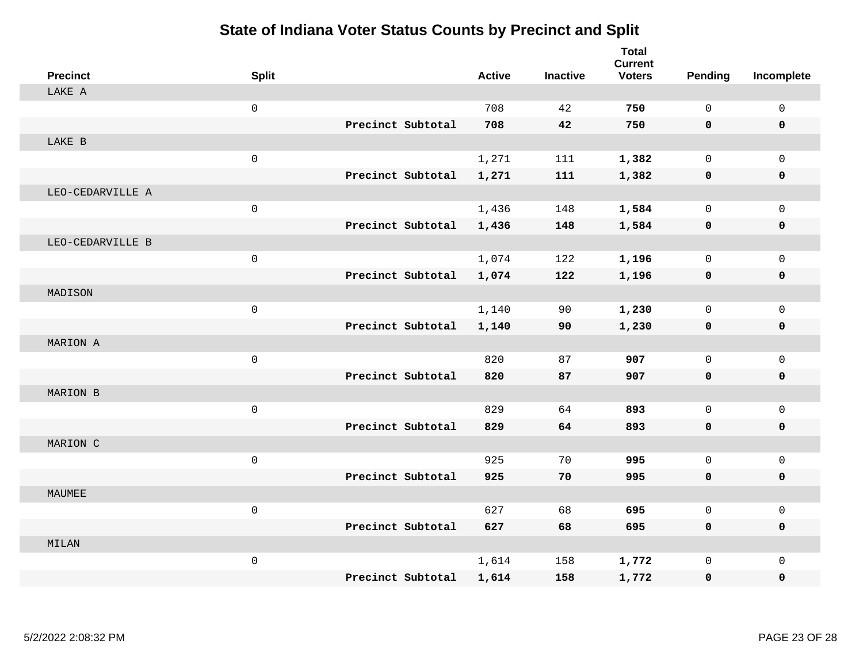| <b>Precinct</b>  | <b>Split</b>        |                   | <b>Active</b> | <b>Inactive</b> | <b>Total</b><br><b>Current</b><br><b>Voters</b> | <b>Pending</b> | Incomplete   |
|------------------|---------------------|-------------------|---------------|-----------------|-------------------------------------------------|----------------|--------------|
| LAKE A           |                     |                   |               |                 |                                                 |                |              |
|                  | $\mathsf{O}\xspace$ |                   | 708           | 42              | 750                                             | $\mathbf 0$    | $\mathsf{O}$ |
|                  |                     | Precinct Subtotal | 708           | 42              | 750                                             | 0              | 0            |
| LAKE B           |                     |                   |               |                 |                                                 |                |              |
|                  | $\mathsf{O}\xspace$ |                   | 1,271         | 111             | 1,382                                           | $\mathbf 0$    | $\mathbf 0$  |
|                  |                     | Precinct Subtotal | 1,271         | 111             | 1,382                                           | $\mathbf 0$    | 0            |
| LEO-CEDARVILLE A |                     |                   |               |                 |                                                 |                |              |
|                  | $\mathsf 0$         |                   | 1,436         | 148             | 1,584                                           | $\mathbf 0$    | $\mathsf{O}$ |
|                  |                     | Precinct Subtotal | 1,436         | 148             | 1,584                                           | 0              | 0            |
| LEO-CEDARVILLE B |                     |                   |               |                 |                                                 |                |              |
|                  | $\mathsf{O}\xspace$ |                   | 1,074         | 122             | 1,196                                           | $\mathbf 0$    | $\mathbf 0$  |
|                  |                     | Precinct Subtotal | 1,074         | 122             | 1,196                                           | 0              | 0            |
| MADISON          |                     |                   |               |                 |                                                 |                |              |
|                  | $\mathbf 0$         |                   | 1,140         | 90              | 1,230                                           | $\Omega$       | $\mathbf 0$  |
|                  |                     | Precinct Subtotal | 1,140         | 90              | 1,230                                           | 0              | $\mathbf 0$  |
| MARION A         |                     |                   |               |                 |                                                 |                |              |
|                  | $\mathsf{O}\xspace$ |                   | 820           | 87              | 907                                             | $\mathbf 0$    | $\mathbf{0}$ |
|                  |                     | Precinct Subtotal | 820           | 87              | 907                                             | $\mathbf 0$    | 0            |
| MARION B         |                     |                   |               |                 |                                                 |                |              |
|                  | $\mathsf 0$         |                   | 829           | 64              | 893                                             | $\mathbf 0$    | $\mathbf 0$  |
|                  |                     | Precinct Subtotal | 829           | 64              | 893                                             | $\mathbf 0$    | 0            |
| MARION C         |                     |                   |               |                 |                                                 |                |              |
|                  | $\mathsf{O}\xspace$ |                   | 925           | 70              | 995                                             | $\mathbf 0$    | $\mathsf{O}$ |
|                  |                     | Precinct Subtotal | 925           | 70              | 995                                             | 0              | 0            |
| MAUMEE           |                     |                   |               |                 |                                                 |                |              |
|                  | $\mathsf{O}\xspace$ |                   | 627           | 68              | 695                                             | $\mathbf 0$    | $\mathbf 0$  |
|                  |                     | Precinct Subtotal | 627           | 68              | 695                                             | 0              | 0            |
| MILAN            |                     |                   |               |                 |                                                 |                |              |
|                  | $\mathsf{O}\xspace$ |                   | 1,614         | 158             | 1,772                                           | $\mathbf 0$    | $\mathbf 0$  |
|                  |                     | Precinct Subtotal | 1,614         | 158             | 1,772                                           | 0              | $\mathbf 0$  |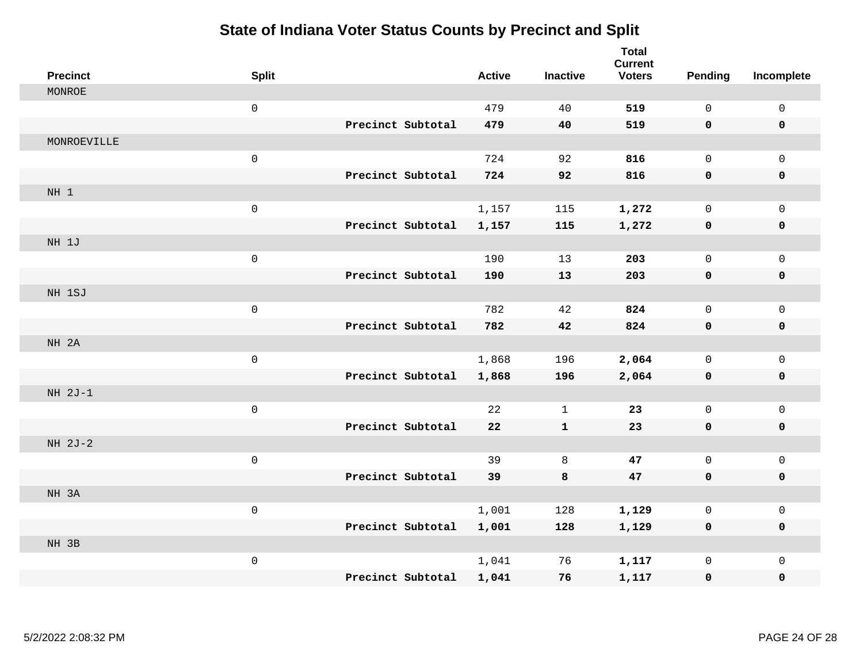| <b>Precinct</b> | <b>Split</b>        |                   | <b>Active</b> | <b>Inactive</b> | <b>Total</b><br><b>Current</b><br><b>Voters</b> | <b>Pending</b> | Incomplete          |
|-----------------|---------------------|-------------------|---------------|-----------------|-------------------------------------------------|----------------|---------------------|
| MONROE          |                     |                   |               |                 |                                                 |                |                     |
|                 | $\mathsf{O}\xspace$ |                   | 479           | 40              | 519                                             | $\mathbf 0$    | $\mathsf 0$         |
|                 |                     | Precinct Subtotal | 479           | 40              | 519                                             | 0              | 0                   |
| MONROEVILLE     |                     |                   |               |                 |                                                 |                |                     |
|                 | $\mathsf 0$         |                   | 724           | 92              | 816                                             | $\mathbf 0$    | $\mathsf{O}$        |
|                 |                     | Precinct Subtotal | 724           | 92              | 816                                             | 0              | $\pmb{0}$           |
| NH 1            |                     |                   |               |                 |                                                 |                |                     |
|                 | $\mathsf 0$         |                   | 1,157         | 115             | 1,272                                           | $\mathbf 0$    | $\mathsf{O}$        |
|                 |                     | Precinct Subtotal | 1,157         | 115             | 1,272                                           | 0              | 0                   |
| NH 1J           |                     |                   |               |                 |                                                 |                |                     |
|                 | $\mathsf{O}\xspace$ |                   | 190           | 13              | 203                                             | $\mathbf 0$    | $\mathsf{O}\xspace$ |
|                 |                     | Precinct Subtotal | 190           | 13              | 203                                             | 0              | 0                   |
| NH 1SJ          |                     |                   |               |                 |                                                 |                |                     |
|                 | $\mathsf{O}\xspace$ |                   | 782           | 42              | 824                                             | $\Omega$       | $\mathbf 0$         |
|                 |                     | Precinct Subtotal | 782           | 42              | 824                                             | 0              | $\mathbf 0$         |
| NH 2A           |                     |                   |               |                 |                                                 |                |                     |
|                 | $\mathsf{O}\xspace$ |                   | 1,868         | 196             | 2,064                                           | $\mathbf 0$    | $\mathsf{O}$        |
|                 |                     | Precinct Subtotal | 1,868         | 196             | 2,064                                           | $\mathbf 0$    | 0                   |
| NH 2J-1         |                     |                   |               |                 |                                                 |                |                     |
|                 | $\mathsf{O}\xspace$ |                   | 22            | $\mathbf{1}$    | 23                                              | $\mathbf 0$    | $\mathbf 0$         |
|                 |                     | Precinct Subtotal | 22            | $\mathbf{1}$    | 23                                              | 0              | 0                   |
| NH 2J-2         |                     |                   |               |                 |                                                 |                |                     |
|                 | $\mathsf{O}\xspace$ |                   | 39            | 8               | 47                                              | $\mathbf 0$    | $\mathsf{O}$        |
|                 |                     | Precinct Subtotal | 39            | 8               | 47                                              | $\mathbf 0$    | 0                   |
| NH 3A           |                     |                   |               |                 |                                                 |                |                     |
|                 | $\mathsf 0$         |                   | 1,001         | 128             | 1,129                                           | $\mathbf 0$    | $\mathsf{O}$        |
|                 |                     | Precinct Subtotal | 1,001         | 128             | 1,129                                           | 0              | 0                   |
| NH 3B           |                     |                   |               |                 |                                                 |                |                     |
|                 | $\mathsf{O}\xspace$ |                   | 1,041         | 76              | 1,117                                           | $\mathbf 0$    | $\mathsf{O}$        |
|                 |                     | Precinct Subtotal | 1,041         | 76              | 1,117                                           | 0              | 0                   |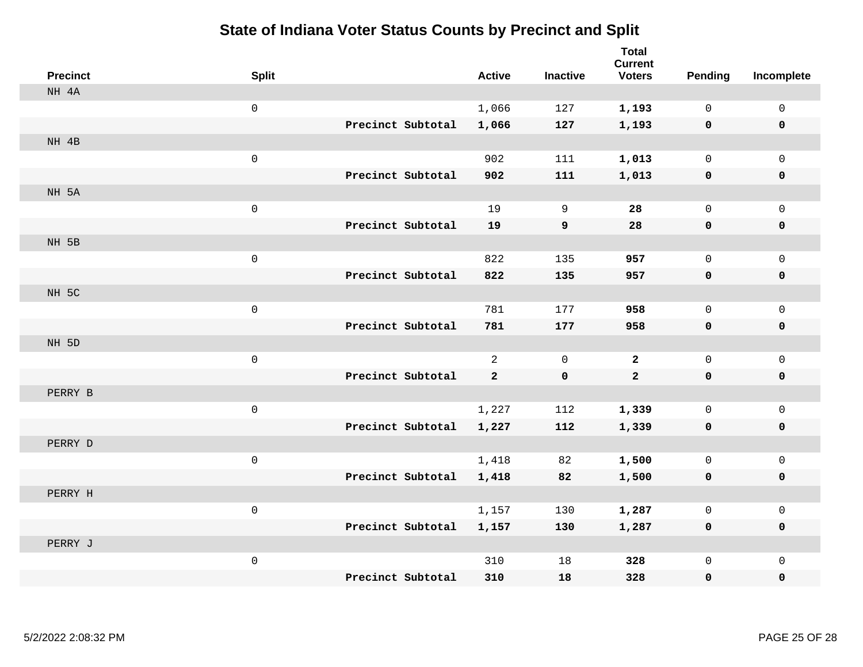| <b>Precinct</b> | <b>Split</b>        |                   |                   | <b>Active</b>  | <b>Inactive</b> | <b>Total</b><br><b>Current</b><br><b>Voters</b> | Pending      | Incomplete   |
|-----------------|---------------------|-------------------|-------------------|----------------|-----------------|-------------------------------------------------|--------------|--------------|
| NH 4A           |                     |                   |                   |                |                 |                                                 |              |              |
|                 | $\mathsf{O}\xspace$ |                   |                   | 1,066          | 127             | 1,193                                           | $\mathbf 0$  | $\mathbf 0$  |
|                 |                     | Precinct Subtotal |                   | 1,066          | 127             | 1,193                                           | $\mathbf 0$  | $\mathbf 0$  |
| NH 4B           |                     |                   |                   |                |                 |                                                 |              |              |
|                 | $\mathbf 0$         |                   |                   | 902            | 111             | 1,013                                           | 0            | $\mathbf 0$  |
|                 |                     |                   | Precinct Subtotal | 902            | 111             | 1,013                                           | 0            | $\mathbf 0$  |
| NH 5A           |                     |                   |                   |                |                 |                                                 |              |              |
|                 | $\mathsf{O}\xspace$ |                   |                   | 19             | 9               | 28                                              | 0            | $\mathsf{O}$ |
|                 |                     | Precinct Subtotal |                   | 19             | 9               | 28                                              | $\mathbf 0$  | 0            |
| NH 5B           |                     |                   |                   |                |                 |                                                 |              |              |
|                 | $\mathsf{O}\xspace$ |                   |                   | 822            | 135             | 957                                             | $\mathsf{O}$ | $\mathsf{O}$ |
|                 |                     |                   | Precinct Subtotal | 822            | 135             | 957                                             | $\mathbf 0$  | 0            |
| NH 5C           |                     |                   |                   |                |                 |                                                 |              |              |
|                 | $\mathsf{O}\xspace$ |                   |                   | 781            | 177             | 958                                             | 0            | $\mathsf{O}$ |
|                 |                     |                   | Precinct Subtotal | 781            | 177             | 958                                             | 0            | 0            |
| NH 5D           |                     |                   |                   |                |                 |                                                 |              |              |
|                 | $\mathsf{O}\xspace$ |                   |                   | $\overline{a}$ | $\mathbf 0$     | $\mathbf{2}$                                    | 0            | $\mathbf 0$  |
|                 |                     |                   | Precinct Subtotal | $\mathbf{2}$   | $\pmb{0}$       | $\mathbf{2}$                                    | $\mathbf 0$  | $\mathbf 0$  |
| PERRY B         |                     |                   |                   |                |                 |                                                 |              |              |
|                 | $\mathsf{O}\xspace$ |                   |                   | 1,227          | 112             | 1,339                                           | 0            | $\mathbf 0$  |
|                 |                     |                   | Precinct Subtotal | 1,227          | 112             | 1,339                                           | 0            | $\mathbf 0$  |
| PERRY D         |                     |                   |                   |                |                 |                                                 |              |              |
|                 | $\mathsf{O}\xspace$ |                   |                   | 1,418          | 82              | 1,500                                           | 0            | $\mathbf 0$  |
|                 |                     |                   | Precinct Subtotal | 1,418          | 82              | 1,500                                           | $\mathbf 0$  | $\mathbf 0$  |
| PERRY H         |                     |                   |                   |                |                 |                                                 |              |              |
|                 | $\mathsf{O}\xspace$ |                   |                   | 1,157          | 130             | 1,287                                           | 0            | $\mathsf{O}$ |
|                 |                     |                   | Precinct Subtotal | 1,157          | 130             | 1,287                                           | 0            | 0            |
| PERRY J         |                     |                   |                   |                |                 |                                                 |              |              |
|                 | $\mathsf{O}\xspace$ |                   |                   | 310            | 18              | 328                                             | 0            | $\mathbf 0$  |
|                 |                     | Precinct Subtotal |                   | 310            | 18              | 328                                             | 0            | 0            |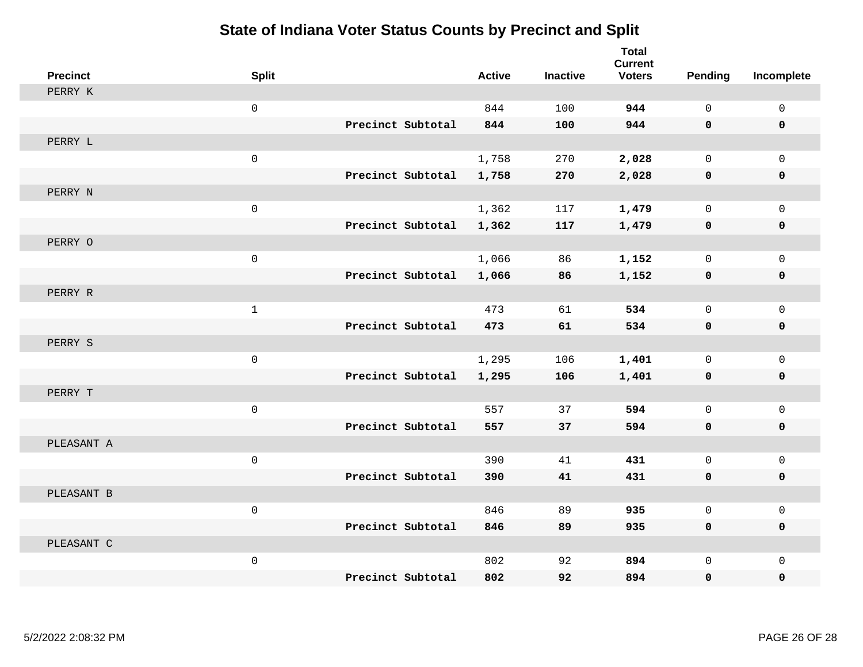| <b>Precinct</b> | <b>Split</b>        |                   | <b>Active</b> | <b>Inactive</b> | <b>Total</b><br><b>Current</b><br><b>Voters</b> | Pending      | Incomplete   |
|-----------------|---------------------|-------------------|---------------|-----------------|-------------------------------------------------|--------------|--------------|
| PERRY K         |                     |                   |               |                 |                                                 |              |              |
|                 | $\mathsf{O}\xspace$ |                   | 844           | 100             | 944                                             | $\mathbf 0$  | $\mathbf 0$  |
|                 |                     | Precinct Subtotal | 844           | 100             | 944                                             | 0            | $\pmb{0}$    |
| PERRY L         |                     |                   |               |                 |                                                 |              |              |
|                 | $\mathsf 0$         |                   | 1,758         | 270             | 2,028                                           | $\mathbf 0$  | $\mathbf{0}$ |
|                 |                     | Precinct Subtotal | 1,758         | 270             | 2,028                                           | 0            | 0            |
| PERRY N         |                     |                   |               |                 |                                                 |              |              |
|                 | $\mathsf 0$         |                   | 1,362         | 117             | 1,479                                           | $\mathbf 0$  | $\mathbf 0$  |
|                 |                     | Precinct Subtotal | 1,362         | 117             | 1,479                                           | 0            | 0            |
| PERRY O         |                     |                   |               |                 |                                                 |              |              |
|                 | $\mathbf 0$         |                   | 1,066         | 86              | 1,152                                           | $\mathbf 0$  | $\mathsf{O}$ |
|                 |                     | Precinct Subtotal | 1,066         | 86              | 1,152                                           | 0            | 0            |
| PERRY R         |                     |                   |               |                 |                                                 |              |              |
|                 | $\mathbf 1$         |                   | 473           | 61              | 534                                             | $\Omega$     | $\mathbf 0$  |
|                 |                     | Precinct Subtotal | 473           | 61              | 534                                             | 0            | $\mathbf 0$  |
| PERRY S         |                     |                   |               |                 |                                                 |              |              |
|                 | $\mathsf{O}\xspace$ |                   | 1,295         | 106             | 1,401                                           | $\mathbf 0$  | $\mathsf{O}$ |
|                 |                     | Precinct Subtotal | 1,295         | 106             | 1,401                                           | 0            | 0            |
| PERRY T         |                     |                   |               |                 |                                                 |              |              |
|                 | $\mathsf{O}\xspace$ |                   | 557           | 37              | 594                                             | $\mathbf 0$  | $\mathbf 0$  |
|                 |                     | Precinct Subtotal | 557           | 37              | 594                                             | 0            | 0            |
| PLEASANT A      |                     |                   |               |                 |                                                 |              |              |
|                 | $\mathbf 0$         |                   | 390           | 41              | 431                                             | $\mathbf 0$  | $\mathbf 0$  |
|                 |                     | Precinct Subtotal | 390           | 41              | 431                                             | 0            | 0            |
| PLEASANT B      |                     |                   |               |                 |                                                 |              |              |
|                 | $\mathbf 0$         |                   | 846           | 89              | 935                                             | $\mathbf 0$  | $\mathsf{O}$ |
|                 |                     | Precinct Subtotal | 846           | 89              | 935                                             | 0            | 0            |
| PLEASANT C      |                     |                   |               |                 |                                                 |              |              |
|                 | $\mathsf{O}\xspace$ |                   | 802           | 92              | 894                                             | $\mathbf{0}$ | $\mathbf 0$  |
|                 |                     | Precinct Subtotal | 802           | 92              | 894                                             | 0            | 0            |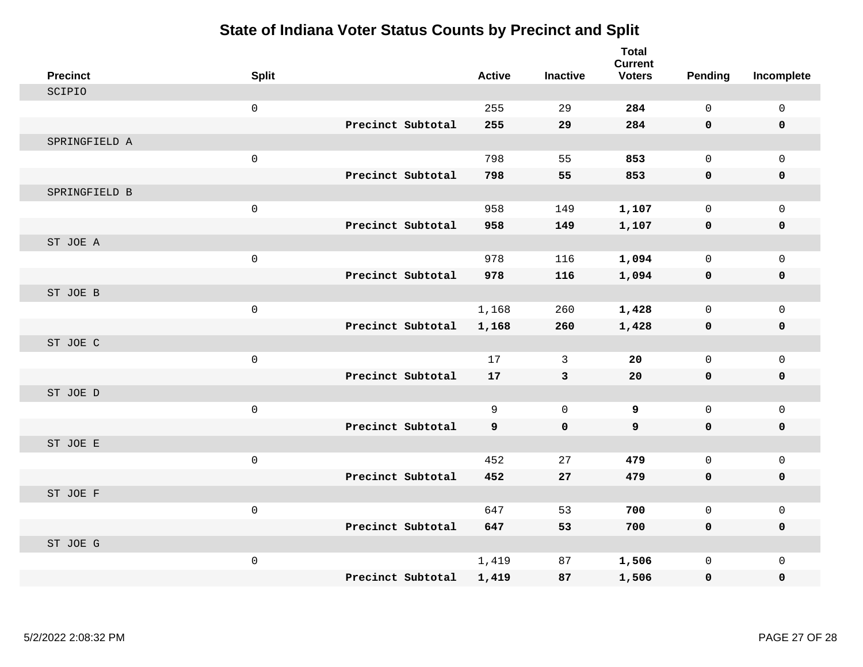| <b>Precinct</b> | <b>Split</b>        |                   | <b>Active</b> | <b>Inactive</b> | <b>Total</b><br><b>Current</b><br><b>Voters</b> | Pending      | Incomplete   |
|-----------------|---------------------|-------------------|---------------|-----------------|-------------------------------------------------|--------------|--------------|
| SCIPIO          |                     |                   |               |                 |                                                 |              |              |
|                 | $\mathsf 0$         |                   | 255           | 29              | 284                                             | $\Omega$     | $\mathsf 0$  |
|                 |                     | Precinct Subtotal | 255           | 29              | 284                                             | $\mathbf 0$  | $\mathbf 0$  |
| SPRINGFIELD A   |                     |                   |               |                 |                                                 |              |              |
|                 | $\mathsf{O}\xspace$ |                   | 798           | 55              | 853                                             | $\mathbf 0$  | $\mathbf{0}$ |
|                 |                     | Precinct Subtotal | 798           | 55              | 853                                             | $\mathbf 0$  | $\mathbf 0$  |
| SPRINGFIELD B   |                     |                   |               |                 |                                                 |              |              |
|                 | $\mathbf 0$         |                   | 958           | 149             | 1,107                                           | $\mathbf 0$  | $\mathbf 0$  |
|                 |                     | Precinct Subtotal | 958           | 149             | 1,107                                           | $\mathbf 0$  | $\mathbf 0$  |
| ST JOE A        |                     |                   |               |                 |                                                 |              |              |
|                 | $\mathsf{O}\xspace$ |                   | 978           | 116             | 1,094                                           | $\mathsf{O}$ | $\mathbf{0}$ |
|                 |                     | Precinct Subtotal | 978           | 116             | 1,094                                           | $\mathbf 0$  | 0            |
| ST JOE B        |                     |                   |               |                 |                                                 |              |              |
|                 | $\mathsf{O}\xspace$ |                   | 1,168         | 260             | 1,428                                           | $\mathbf 0$  | $\mathbf 0$  |
|                 |                     | Precinct Subtotal | 1,168         | 260             | 1,428                                           | 0            | $\mathbf 0$  |
| ST JOE C        |                     |                   |               |                 |                                                 |              |              |
|                 | $\mathsf{O}\xspace$ |                   | 17            | 3               | 20                                              | $\mathbf 0$  | $\mathbf 0$  |
|                 |                     | Precinct Subtotal | 17            | 3               | 20                                              | $\mathbf 0$  | $\mathbf 0$  |
| ST JOE D        |                     |                   |               |                 |                                                 |              |              |
|                 | $\mathsf 0$         |                   | 9             | $\mathbf 0$     | 9                                               | $\mathbf 0$  | $\mathsf 0$  |
|                 |                     | Precinct Subtotal | 9             | $\mathbf 0$     | 9                                               | $\mathbf 0$  | $\mathbf 0$  |
| ST JOE E        |                     |                   |               |                 |                                                 |              |              |
|                 | $\mathsf{O}\xspace$ |                   | 452           | 27              | 479                                             | $\mathbf 0$  | $\mathbf{0}$ |
|                 |                     | Precinct Subtotal | 452           | 27              | 479                                             | 0            | 0            |
| ST JOE F        |                     |                   |               |                 |                                                 |              |              |
|                 | $\mathbf 0$         |                   | 647           | 53              | 700                                             | $\mathbf 0$  | $\mathbf 0$  |
|                 |                     | Precinct Subtotal | 647           | 53              | 700                                             | $\mathbf 0$  | 0            |
| ST JOE G        |                     |                   |               |                 |                                                 |              |              |
|                 | $\mathsf{O}\xspace$ |                   | 1,419         | 87              | 1,506                                           | $\mathbf 0$  | $\mathbf{0}$ |
|                 |                     | Precinct Subtotal | 1,419         | 87              | 1,506                                           | $\mathbf 0$  | 0            |